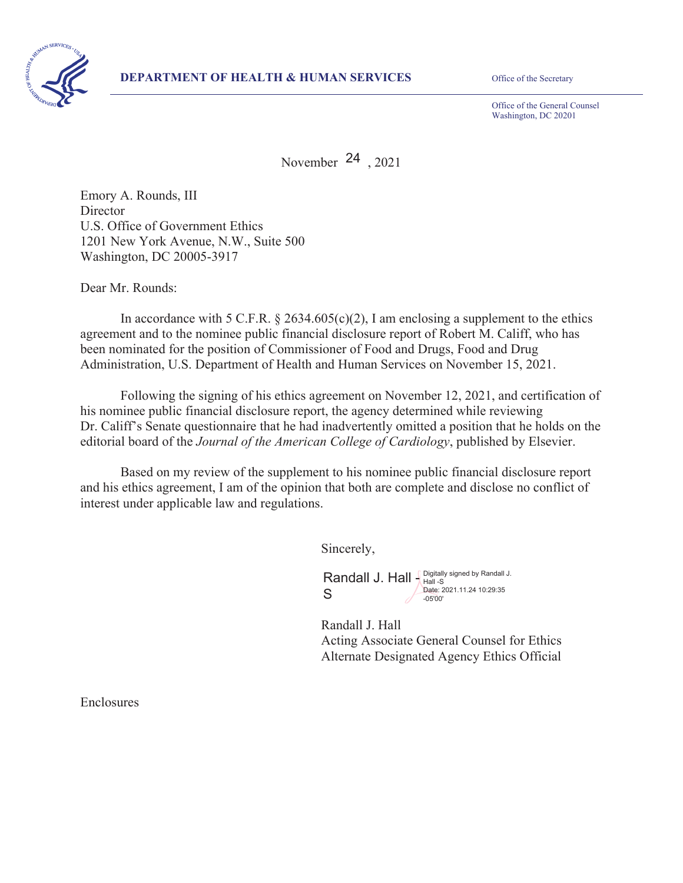

Office of the General Counsel Washington, DC 20201

November  $24$ , 2021

Emory A. Rounds, III **Director** U.S. Office of Government Ethics 1201 New York Avenue, N.W., Suite 500 Washington, DC 20005-3917

Dear Mr. Rounds:

In accordance with 5 C.F.R.  $\S$  2634.605(c)(2), I am enclosing a supplement to the ethics agreement and to the nominee public financial disclosure report of Robert M. Califf, who has been nominated for the position of Commissioner of Food and Drugs, Food and Drug Administration, U.S. Department of Health and Human Services on November 15, 2021.

Following the signing of his ethics agreement on November 12, 2021, and certification of his nominee public financial disclosure report, the agency determined while reviewing Dr. Califf's Senate questionnaire that he had inadvertently omitted a position that he holds on the editorial board of the *Journal of the American College of Cardiology*, published by Elsevier.

Based on my review of the supplement to his nominee public financial disclosure report and his ethics agreement, I am of the opinion that both are complete and disclose no conflict of interest under applicable law and regulations.

Sincerely,

Randall J. Hall  $\int_{\text{Hall}}^{\text{Digitally signed by Randall J.}}$ S Date: 2021.11.24 10:29:35 -05'00'

 Randall J. Hall Acting Associate General Counsel for Ethics Alternate Designated Agency Ethics Official

Enclosures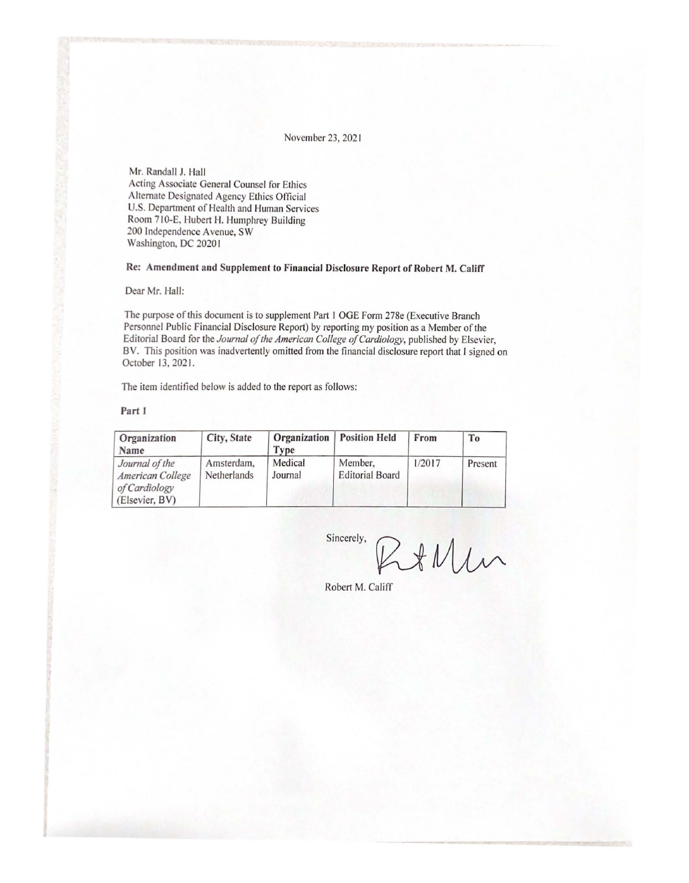November 23, 202 1

Mr. Randall J. Hall Acting Associate General Counsel for Ethics Alternate Designated Agency Ethics Official U.S. Department of Health and Human Services Room 710-E. Hubert H. Humphrey Building 200 Independence A venue, SW Washington, DC 20201

#### **Re: Amendment and Supplement to Financial Disclosure Report of Robert M. Califf**

Dear Mr. Hall:

The purpose of *this* document is to supplement Part I OGE Form 278e (Executive Branch Personnel Public Financial Disclosure Report) by reporting my position as a Member of the Editorial Board for the *Journal of the American College of Cardiology*, published by Elsevier, BV. This position was inadvertently omitted from the financial disclosure report that I signed on October 13, 2021.

The item identified below is added to the report as follows:

#### **Part J**

| Organization<br>Name                                                  | City, State               | Type               | <b>Organization</b>   Position Held | From   | T <sub>0</sub> |
|-----------------------------------------------------------------------|---------------------------|--------------------|-------------------------------------|--------|----------------|
| Journal of the<br>American College<br>of Cardiology<br>(Elsevier, BV) | Amsterdam,<br>Netherlands | Medical<br>Journal | Member,<br><b>Editorial Board</b>   | 1/2017 | Present        |

 $Sineerely,$   $RHMun$ 

Robert M. Califf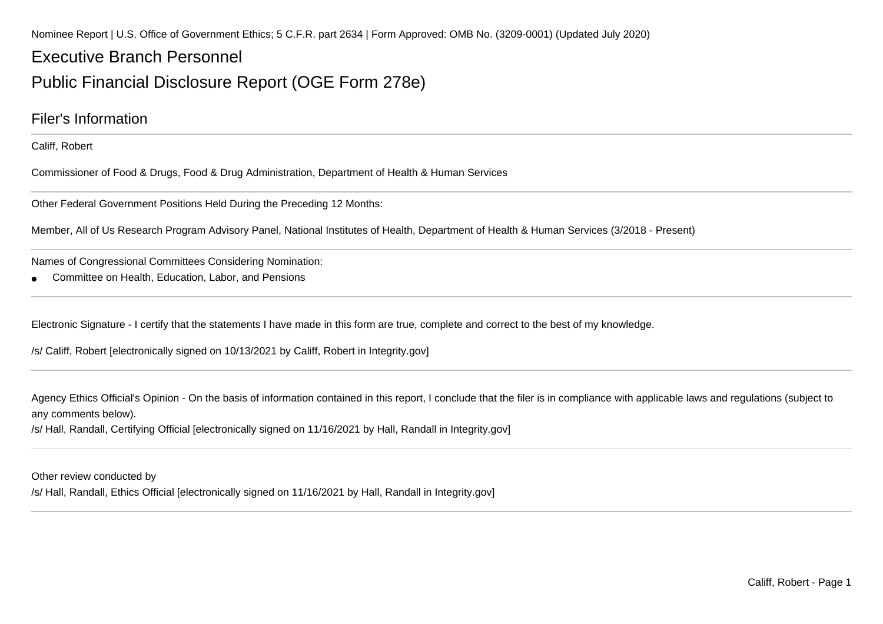Nominee Report | U.S. Office of Government Ethics; 5 C.F.R. part 2634 | Form Approved: OMB No. (3209-0001) (Updated July 2020)

# Executive Branch PersonnelPublic Financial Disclosure Report (OGE Form 278e)

### Filer's Information

Califf, Robert

Commissioner of Food & Drugs, Food & Drug Administration, Department of Health & Human Services

Other Federal Government Positions Held During the Preceding 12 Months:

Member, All of Us Research Program Advisory Panel, National Institutes of Health, Department of Health & Human Services (3/2018 - Present)

Names of Congressional Committees Considering Nomination:

●Committee on Health, Education, Labor, and Pensions

Electronic Signature - I certify that the statements I have made in this form are true, complete and correct to the best of my knowledge.

/s/ Califf, Robert [electronically signed on 10/13/2021 by Califf, Robert in Integrity.gov]

Agency Ethics Official's Opinion - On the basis of information contained in this report, I conclude that the filer is in compliance with applicable laws and regulations (subject toany comments below).

/s/ Hall, Randall, Certifying Official [electronically signed on 11/16/2021 by Hall, Randall in Integrity.gov]

Other review conducted by

/s/ Hall, Randall, Ethics Official [electronically signed on 11/16/2021 by Hall, Randall in Integrity.gov]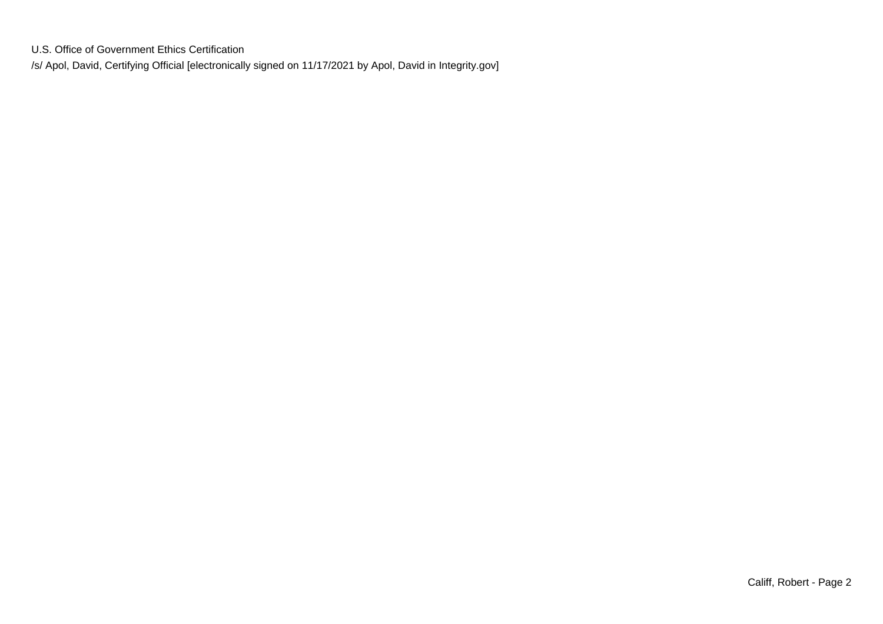U.S. Office of Government Ethics Certification/s/ Apol, David, Certifying Official [electronically signed on 11/17/2021 by Apol, David in Integrity.gov]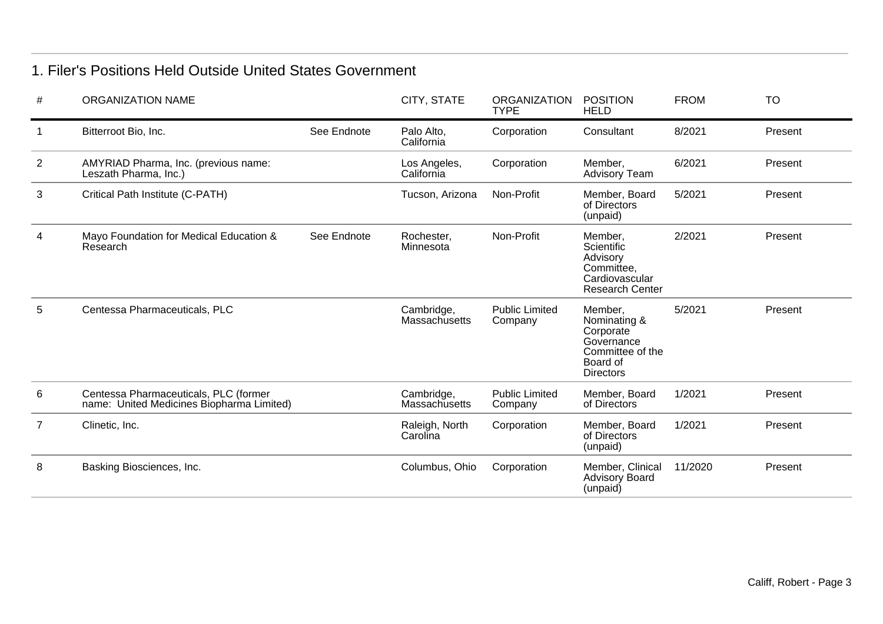## 1. Filer's Positions Held Outside United States Government

| #              | <b>ORGANIZATION NAME</b>                                                           |             | CITY, STATE                        | <b>ORGANIZATION</b><br><b>TYPE</b> | <b>POSITION</b><br><b>HELD</b>                                                                         | <b>FROM</b> | <b>TO</b> |
|----------------|------------------------------------------------------------------------------------|-------------|------------------------------------|------------------------------------|--------------------------------------------------------------------------------------------------------|-------------|-----------|
|                | Bitterroot Bio, Inc.                                                               | See Endnote | Palo Alto,<br>California           | Corporation                        | Consultant                                                                                             | 8/2021      | Present   |
| $\overline{2}$ | AMYRIAD Pharma, Inc. (previous name:<br>Leszath Pharma, Inc.)                      |             | Los Angeles,<br>California         | Corporation                        | Member,<br><b>Advisory Team</b>                                                                        | 6/2021      | Present   |
| 3              | Critical Path Institute (C-PATH)                                                   |             | Tucson, Arizona                    | Non-Profit                         | Member, Board<br>of Directors<br>(unpaid)                                                              | 5/2021      | Present   |
| 4              | Mayo Foundation for Medical Education &<br>Research                                | See Endnote | Rochester,<br>Minnesota            | Non-Profit                         | Member,<br>Scientific<br>Advisory<br>Committee,<br>Cardiovascular<br><b>Research Center</b>            | 2/2021      | Present   |
| 5              | Centessa Pharmaceuticals, PLC                                                      |             | Cambridge,<br><b>Massachusetts</b> | <b>Public Limited</b><br>Company   | Member,<br>Nominating &<br>Corporate<br>Governance<br>Committee of the<br>Board of<br><b>Directors</b> | 5/2021      | Present   |
| 6              | Centessa Pharmaceuticals, PLC (former<br>name: United Medicines Biopharma Limited) |             | Cambridge,<br><b>Massachusetts</b> | <b>Public Limited</b><br>Company   | Member, Board<br>of Directors                                                                          | 1/2021      | Present   |
| $\overline{7}$ | Clinetic, Inc.                                                                     |             | Raleigh, North<br>Carolina         | Corporation                        | Member, Board<br>of Directors<br>(unpaid)                                                              | 1/2021      | Present   |
| 8              | Basking Biosciences, Inc.                                                          |             | Columbus, Ohio                     | Corporation                        | Member, Clinical<br><b>Advisory Board</b><br>(unpaid)                                                  | 11/2020     | Present   |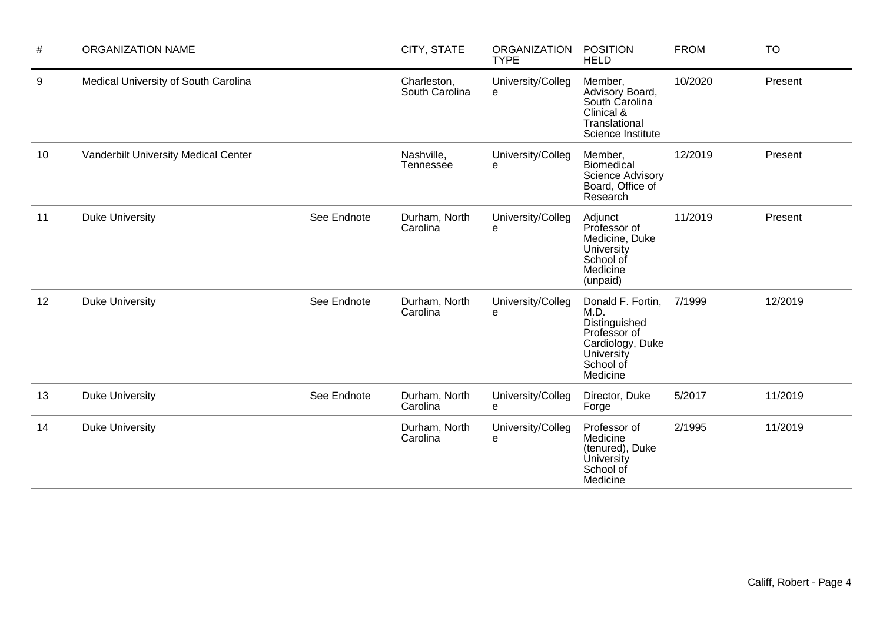| $\#$ | <b>ORGANIZATION NAME</b>             |             | CITY, STATE                   | <b>ORGANIZATION</b><br><b>TYPE</b> | <b>POSITION</b><br><b>HELD</b>                                                                                        | <b>FROM</b> | <b>TO</b> |
|------|--------------------------------------|-------------|-------------------------------|------------------------------------|-----------------------------------------------------------------------------------------------------------------------|-------------|-----------|
| 9    | Medical University of South Carolina |             | Charleston,<br>South Carolina | University/Colleg<br>e             | Member,<br>Advisory Board,<br>South Carolina<br>Clinical &<br>Translational<br>Science Institute                      | 10/2020     | Present   |
| 10   | Vanderbilt University Medical Center |             | Nashville,<br>Tennessee       | University/Colleg<br>e             | Member,<br><b>Biomedical</b><br><b>Science Advisory</b><br>Board, Office of<br>Research                               | 12/2019     | Present   |
| 11   | <b>Duke University</b>               | See Endnote | Durham, North<br>Carolina     | University/Colleg<br>е             | Adjunct<br>Professor of<br>Medicine, Duke<br>University<br>School of<br>Medicine<br>(unpaid)                          | 11/2019     | Present   |
| 12   | <b>Duke University</b>               | See Endnote | Durham, North<br>Carolina     | University/Colleg<br>е             | Donald F. Fortin,<br>M.D.<br>Distinguished<br>Professor of<br>Cardiology, Duke<br>University<br>School of<br>Medicine | 7/1999      | 12/2019   |
| 13   | <b>Duke University</b>               | See Endnote | Durham, North<br>Carolina     | University/Colleg<br>e             | Director, Duke<br>Forge                                                                                               | 5/2017      | 11/2019   |
| 14   | <b>Duke University</b>               |             | Durham, North<br>Carolina     | University/Colleg<br>e             | Professor of<br>Medicine<br>(tenured), Duke<br><b>University</b><br>School of<br>Medicine                             | 2/1995      | 11/2019   |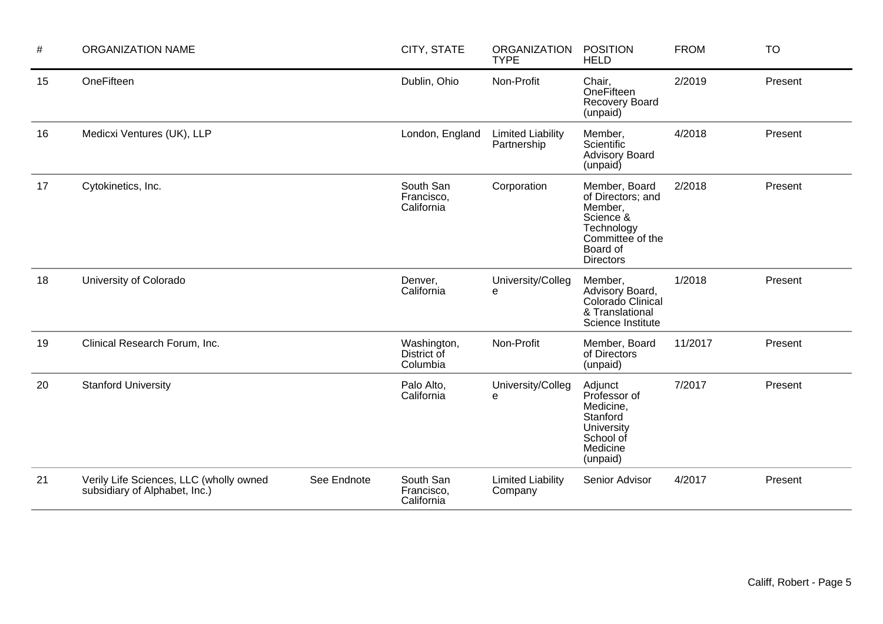| $\#$ | <b>ORGANIZATION NAME</b>                                                 |             | CITY, STATE                            | <b>ORGANIZATION</b><br><b>TYPE</b>      | <b>POSITION</b><br><b>HELD</b>                                                                                               | <b>FROM</b> | <b>TO</b> |
|------|--------------------------------------------------------------------------|-------------|----------------------------------------|-----------------------------------------|------------------------------------------------------------------------------------------------------------------------------|-------------|-----------|
| 15   | OneFifteen                                                               |             | Dublin, Ohio                           | Non-Profit                              | Chair,<br>OneFifteen<br><b>Recovery Board</b><br>(unpaid)                                                                    | 2/2019      | Present   |
| 16   | Medicxi Ventures (UK), LLP                                               |             | London, England                        | <b>Limited Liability</b><br>Partnership | Member,<br>Scientific<br><b>Advisory Board</b><br>(unpaid)                                                                   | 4/2018      | Present   |
| 17   | Cytokinetics, Inc.                                                       |             | South San<br>Francisco,<br>California  | Corporation                             | Member, Board<br>of Directors; and<br>Member,<br>Science &<br>Technology<br>Committee of the<br>Board of<br><b>Directors</b> | 2/2018      | Present   |
| 18   | University of Colorado                                                   |             | Denver,<br>California                  | University/Colleg<br>e                  | Member,<br>Advisory Board,<br>Colorado Clinical<br>& Translational<br>Science Institute                                      | 1/2018      | Present   |
| 19   | Clinical Research Forum, Inc.                                            |             | Washington,<br>District of<br>Columbia | Non-Profit                              | Member, Board<br>of Directors<br>(unpaid)                                                                                    | 11/2017     | Present   |
| 20   | <b>Stanford University</b>                                               |             | Palo Alto,<br>California               | University/Colleg<br>e                  | Adjunct<br>Professor of<br>Medicine,<br>Stanford<br>University<br>School of<br>Medicine<br>(unpaid)                          | 7/2017      | Present   |
| 21   | Verily Life Sciences, LLC (wholly owned<br>subsidiary of Alphabet, Inc.) | See Endnote | South San<br>Francisco,<br>California  | <b>Limited Liability</b><br>Company     | Senior Advisor                                                                                                               | 4/2017      | Present   |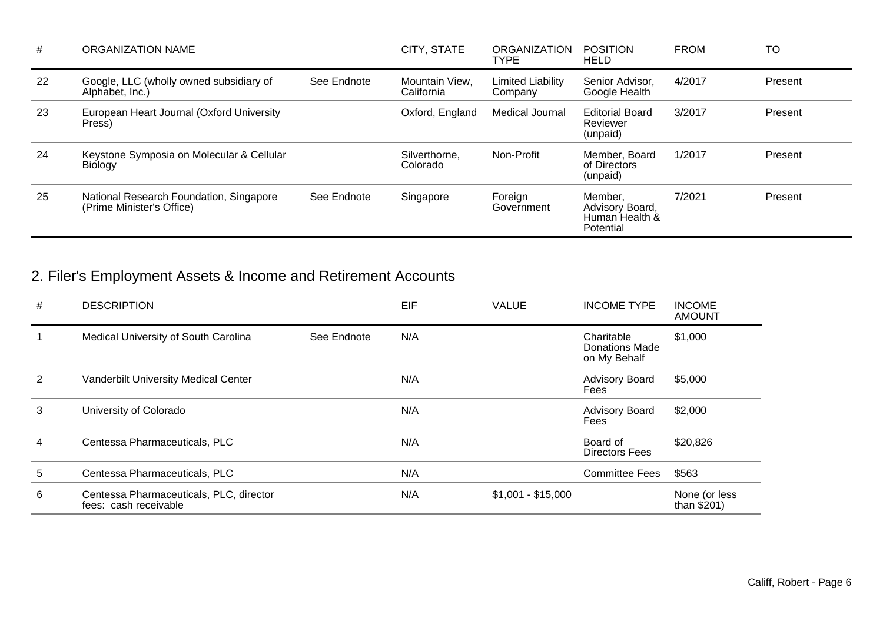| #  | <b>ORGANIZATION NAME</b>                                             |             | CITY, STATE                  | <b>ORGANIZATION</b><br><b>TYPE</b> | <b>POSITION</b><br><b>HELD</b>                            | <b>FROM</b> | TO      |
|----|----------------------------------------------------------------------|-------------|------------------------------|------------------------------------|-----------------------------------------------------------|-------------|---------|
| 22 | Google, LLC (wholly owned subsidiary of<br>Alphabet, Inc.)           | See Endnote | Mountain View.<br>California | Limited Liability<br>Company       | Senior Advisor.<br>Google Health                          | 4/2017      | Present |
| 23 | European Heart Journal (Oxford University<br>Press)                  |             | Oxford, England              | Medical Journal                    | <b>Editorial Board</b><br>Reviewer<br>(unpaid)            | 3/2017      | Present |
| 24 | Keystone Symposia on Molecular & Cellular<br><b>Biology</b>          |             | Silverthorne.<br>Colorado    | Non-Profit                         | Member, Board<br>of Directors<br>(unpaid)                 | 1/2017      | Present |
| 25 | National Research Foundation, Singapore<br>(Prime Minister's Office) | See Endnote | Singapore                    | Foreign<br>Government              | Member.<br>Advisory Board,<br>Human Health &<br>Potential | 7/2021      | Present |

# 2. Filer's Employment Assets & Income and Retirement Accounts

| # | <b>DESCRIPTION</b>                                               |             | EIF | <b>VALUE</b>       | <b>INCOME TYPE</b>                                  | <b>INCOME</b><br><b>AMOUNT</b> |
|---|------------------------------------------------------------------|-------------|-----|--------------------|-----------------------------------------------------|--------------------------------|
|   | Medical University of South Carolina                             | See Endnote | N/A |                    | Charitable<br><b>Donations Made</b><br>on My Behalf | \$1,000                        |
| 2 | Vanderbilt University Medical Center                             |             | N/A |                    | <b>Advisory Board</b><br>Fees                       | \$5,000                        |
| 3 | University of Colorado                                           |             | N/A |                    | <b>Advisory Board</b><br>Fees                       | \$2,000                        |
| 4 | Centessa Pharmaceuticals, PLC                                    |             | N/A |                    | Board of<br>Directors Fees                          | \$20,826                       |
| 5 | Centessa Pharmaceuticals, PLC                                    |             | N/A |                    | <b>Committee Fees</b>                               | \$563                          |
| 6 | Centessa Pharmaceuticals, PLC, director<br>fees: cash receivable |             | N/A | $$1,001 - $15,000$ |                                                     | None (or less<br>than $$201)$  |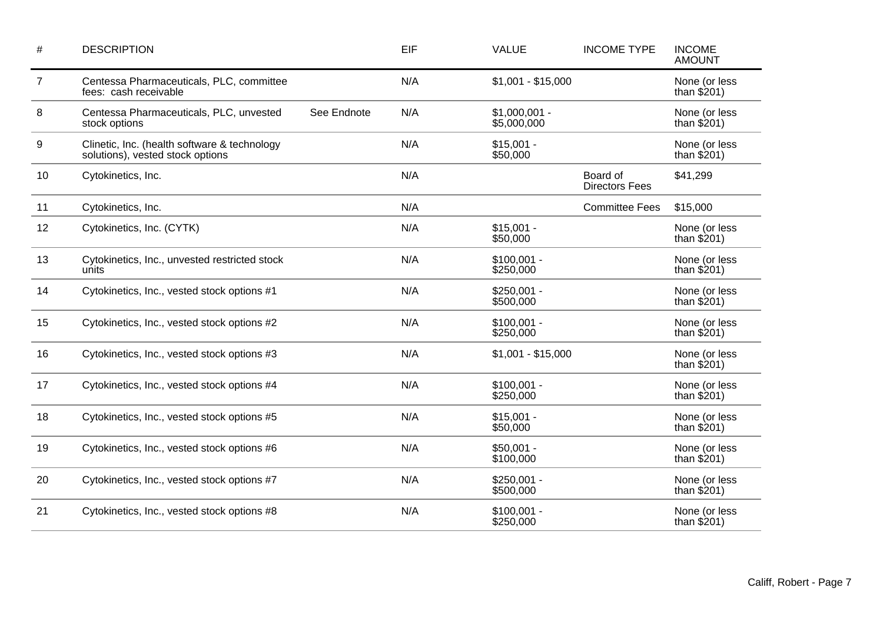| $\#$           | <b>DESCRIPTION</b>                                                               |             | EIF | <b>VALUE</b>                  | <b>INCOME TYPE</b>                | <b>INCOME</b><br><b>AMOUNT</b> |
|----------------|----------------------------------------------------------------------------------|-------------|-----|-------------------------------|-----------------------------------|--------------------------------|
| $\overline{7}$ | Centessa Pharmaceuticals, PLC, committee<br>fees: cash receivable                |             | N/A | $$1,001 - $15,000$            |                                   | None (or less<br>than $$201)$  |
| 8              | Centessa Pharmaceuticals, PLC, unvested<br>stock options                         | See Endnote | N/A | $$1,000,001 -$<br>\$5,000,000 |                                   | None (or less<br>than $$201)$  |
| 9              | Clinetic, Inc. (health software & technology<br>solutions), vested stock options |             | N/A | $$15,001 -$<br>\$50,000       |                                   | None (or less<br>than $$201)$  |
| 10             | Cytokinetics, Inc.                                                               |             | N/A |                               | Board of<br><b>Directors Fees</b> | \$41,299                       |
| 11             | Cytokinetics, Inc.                                                               |             | N/A |                               | <b>Committee Fees</b>             | \$15,000                       |
| 12             | Cytokinetics, Inc. (CYTK)                                                        |             | N/A | $$15,001 -$<br>\$50,000       |                                   | None (or less<br>than $$201)$  |
| 13             | Cytokinetics, Inc., unvested restricted stock<br>units                           |             | N/A | $$100,001 -$<br>\$250,000     |                                   | None (or less<br>than $$201)$  |
| 14             | Cytokinetics, Inc., vested stock options #1                                      |             | N/A | $$250,001 -$<br>\$500,000     |                                   | None (or less<br>than $$201)$  |
| 15             | Cytokinetics, Inc., vested stock options #2                                      |             | N/A | $$100,001 -$<br>\$250,000     |                                   | None (or less<br>than $$201)$  |
| 16             | Cytokinetics, Inc., vested stock options #3                                      |             | N/A | $$1,001 - $15,000$            |                                   | None (or less<br>than $$201)$  |
| 17             | Cytokinetics, Inc., vested stock options #4                                      |             | N/A | $$100,001 -$<br>\$250,000     |                                   | None (or less<br>than $$201)$  |
| 18             | Cytokinetics, Inc., vested stock options #5                                      |             | N/A | $$15,001 -$<br>\$50,000       |                                   | None (or less<br>than $$201)$  |
| 19             | Cytokinetics, Inc., vested stock options #6                                      |             | N/A | $$50,001 -$<br>\$100,000      |                                   | None (or less<br>than $$201)$  |
| 20             | Cytokinetics, Inc., vested stock options #7                                      |             | N/A | $$250,001 -$<br>\$500,000     |                                   | None (or less<br>than $$201)$  |
| 21             | Cytokinetics, Inc., vested stock options #8                                      |             | N/A | $$100,001 -$<br>\$250,000     |                                   | None (or less<br>than $$201)$  |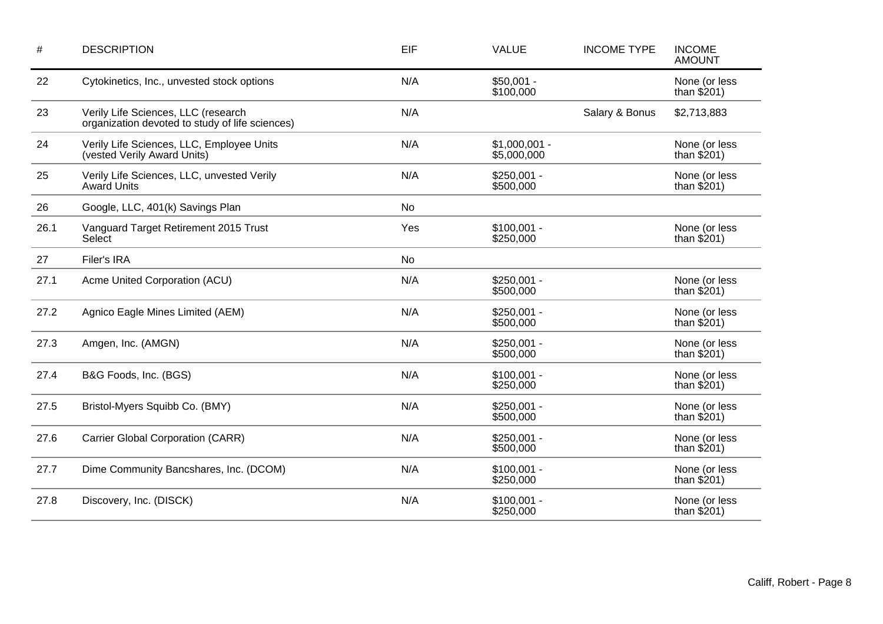| $\#$ | <b>DESCRIPTION</b>                                                                     | EIF       | <b>VALUE</b>                  | <b>INCOME TYPE</b> | <b>INCOME</b><br><b>AMOUNT</b> |
|------|----------------------------------------------------------------------------------------|-----------|-------------------------------|--------------------|--------------------------------|
| 22   | Cytokinetics, Inc., unvested stock options                                             | N/A       | $$50,001 -$<br>\$100,000      |                    | None (or less<br>than $$201)$  |
| 23   | Verily Life Sciences, LLC (research<br>organization devoted to study of life sciences) | N/A       |                               | Salary & Bonus     | \$2,713,883                    |
| 24   | Verily Life Sciences, LLC, Employee Units<br>(vested Verily Award Units)               | N/A       | $$1,000,001 -$<br>\$5,000,000 |                    | None (or less<br>than $$201)$  |
| 25   | Verily Life Sciences, LLC, unvested Verily<br><b>Award Units</b>                       | N/A       | $$250,001 -$<br>\$500,000     |                    | None (or less<br>than $$201)$  |
| 26   | Google, LLC, 401(k) Savings Plan                                                       | No        |                               |                    |                                |
| 26.1 | Vanguard Target Retirement 2015 Trust<br>Select                                        | Yes       | $$100,001 -$<br>\$250,000     |                    | None (or less<br>than $$201)$  |
| 27   | Filer's IRA                                                                            | <b>No</b> |                               |                    |                                |
| 27.1 | Acme United Corporation (ACU)                                                          | N/A       | $$250,001 -$<br>\$500,000     |                    | None (or less<br>than $$201)$  |
| 27.2 | Agnico Eagle Mines Limited (AEM)                                                       | N/A       | $$250,001 -$<br>\$500,000     |                    | None (or less<br>than $$201)$  |
| 27.3 | Amgen, Inc. (AMGN)                                                                     | N/A       | $$250,001 -$<br>\$500,000     |                    | None (or less<br>than $$201)$  |
| 27.4 | B&G Foods, Inc. (BGS)                                                                  | N/A       | $$100,001 -$<br>\$250,000     |                    | None (or less<br>than $$201)$  |
| 27.5 | Bristol-Myers Squibb Co. (BMY)                                                         | N/A       | $$250,001 -$<br>\$500,000     |                    | None (or less<br>than $$201)$  |
| 27.6 | Carrier Global Corporation (CARR)                                                      | N/A       | $$250,001 -$<br>\$500,000     |                    | None (or less<br>than $$201)$  |
| 27.7 | Dime Community Bancshares, Inc. (DCOM)                                                 | N/A       | $$100,001 -$<br>\$250,000     |                    | None (or less<br>than $$201)$  |
| 27.8 | Discovery, Inc. (DISCK)                                                                | N/A       | $$100,001 -$<br>\$250,000     |                    | None (or less<br>than $$201)$  |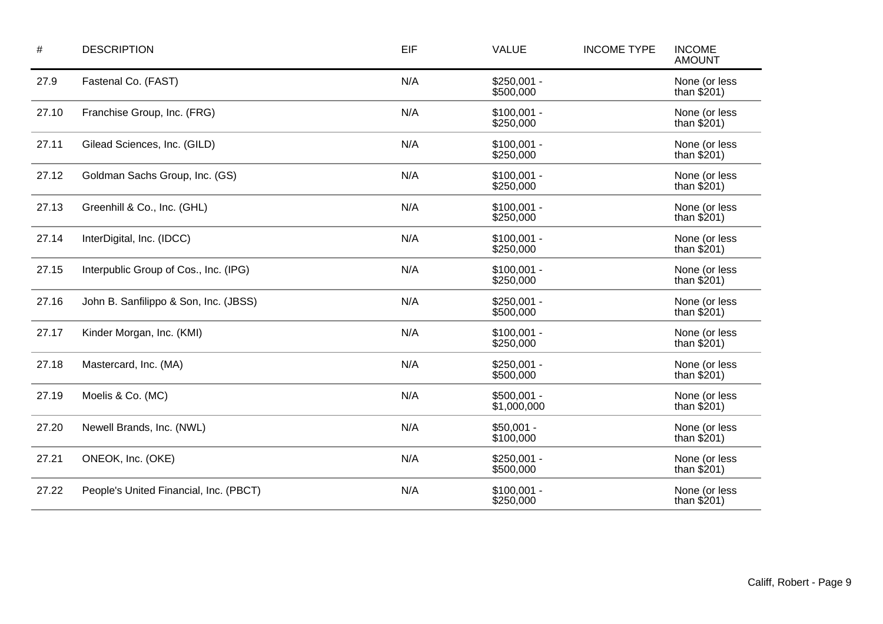| $\#$  | <b>DESCRIPTION</b>                     | EIF | <b>VALUE</b>                | <b>INCOME TYPE</b> | <b>INCOME</b><br><b>AMOUNT</b> |
|-------|----------------------------------------|-----|-----------------------------|--------------------|--------------------------------|
| 27.9  | Fastenal Co. (FAST)                    | N/A | $$250,001 -$<br>\$500,000   |                    | None (or less<br>than $$201)$  |
| 27.10 | Franchise Group, Inc. (FRG)            | N/A | $$100,001 -$<br>\$250,000   |                    | None (or less<br>than $$201)$  |
| 27.11 | Gilead Sciences, Inc. (GILD)           | N/A | $$100,001 -$<br>\$250,000   |                    | None (or less<br>than $$201)$  |
| 27.12 | Goldman Sachs Group, Inc. (GS)         | N/A | $$100,001 -$<br>\$250,000   |                    | None (or less<br>than $$201)$  |
| 27.13 | Greenhill & Co., Inc. (GHL)            | N/A | $$100,001 -$<br>\$250,000   |                    | None (or less<br>than $$201)$  |
| 27.14 | InterDigital, Inc. (IDCC)              | N/A | $$100,001 -$<br>\$250,000   |                    | None (or less<br>than $$201)$  |
| 27.15 | Interpublic Group of Cos., Inc. (IPG)  | N/A | $$100,001 -$<br>\$250,000   |                    | None (or less<br>than $$201)$  |
| 27.16 | John B. Sanfilippo & Son, Inc. (JBSS)  | N/A | $$250,001 -$<br>\$500,000   |                    | None (or less<br>than $$201)$  |
| 27.17 | Kinder Morgan, Inc. (KMI)              | N/A | $$100,001 -$<br>\$250,000   |                    | None (or less<br>than $$201)$  |
| 27.18 | Mastercard, Inc. (MA)                  | N/A | $$250,001 -$<br>\$500,000   |                    | None (or less<br>than $$201)$  |
| 27.19 | Moelis & Co. (MC)                      | N/A | $$500,001 -$<br>\$1,000,000 |                    | None (or less<br>than $$201)$  |
| 27.20 | Newell Brands, Inc. (NWL)              | N/A | $$50,001 -$<br>\$100,000    |                    | None (or less<br>than $$201)$  |
| 27.21 | ONEOK, Inc. (OKE)                      | N/A | $$250,001 -$<br>\$500,000   |                    | None (or less<br>than $$201)$  |
| 27.22 | People's United Financial, Inc. (PBCT) | N/A | $$100,001 -$<br>\$250,000   |                    | None (or less<br>than $$201)$  |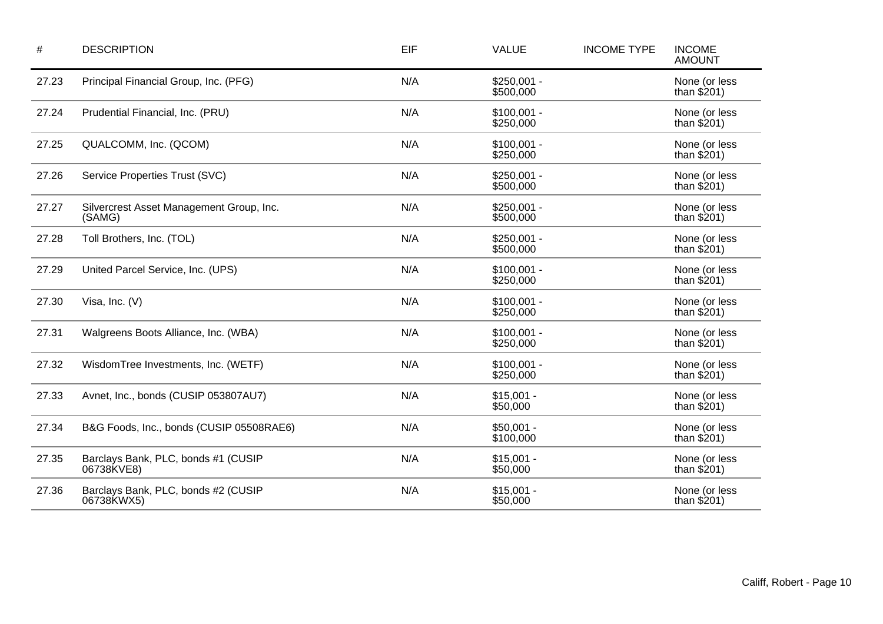| $\#$  | <b>DESCRIPTION</b>                                 | EIF | <b>VALUE</b>              | <b>INCOME TYPE</b> | <b>INCOME</b><br><b>AMOUNT</b> |
|-------|----------------------------------------------------|-----|---------------------------|--------------------|--------------------------------|
| 27.23 | Principal Financial Group, Inc. (PFG)              | N/A | $$250,001 -$<br>\$500,000 |                    | None (or less<br>than $$201)$  |
| 27.24 | Prudential Financial, Inc. (PRU)                   | N/A | $$100,001 -$<br>\$250,000 |                    | None (or less<br>than $$201)$  |
| 27.25 | QUALCOMM, Inc. (QCOM)                              | N/A | $$100,001 -$<br>\$250,000 |                    | None (or less<br>than $$201)$  |
| 27.26 | Service Properties Trust (SVC)                     | N/A | $$250,001 -$<br>\$500,000 |                    | None (or less<br>than $$201)$  |
| 27.27 | Silvercrest Asset Management Group, Inc.<br>(SAMG) | N/A | $$250,001 -$<br>\$500,000 |                    | None (or less<br>than $$201)$  |
| 27.28 | Toll Brothers, Inc. (TOL)                          | N/A | $$250,001 -$<br>\$500,000 |                    | None (or less<br>than $$201)$  |
| 27.29 | United Parcel Service, Inc. (UPS)                  | N/A | $$100,001 -$<br>\$250,000 |                    | None (or less<br>than $$201)$  |
| 27.30 | Visa, Inc. (V)                                     | N/A | $$100,001 -$<br>\$250,000 |                    | None (or less<br>than $$201)$  |
| 27.31 | Walgreens Boots Alliance, Inc. (WBA)               | N/A | $$100,001 -$<br>\$250,000 |                    | None (or less<br>than $$201)$  |
| 27.32 | WisdomTree Investments, Inc. (WETF)                | N/A | $$100,001 -$<br>\$250,000 |                    | None (or less<br>than $$201)$  |
| 27.33 | Avnet, Inc., bonds (CUSIP 053807AU7)               | N/A | $$15,001 -$<br>\$50,000   |                    | None (or less<br>than $$201)$  |
| 27.34 | B&G Foods, Inc., bonds (CUSIP 05508RAE6)           | N/A | $$50,001 -$<br>\$100,000  |                    | None (or less<br>than $$201)$  |
| 27.35 | Barclays Bank, PLC, bonds #1 (CUSIP<br>06738KVE8)  | N/A | $$15,001 -$<br>\$50,000   |                    | None (or less<br>than $$201)$  |
| 27.36 | Barclays Bank, PLC, bonds #2 (CUSIP<br>06738KWX5)  | N/A | $$15,001 -$<br>\$50,000   |                    | None (or less<br>than $$201)$  |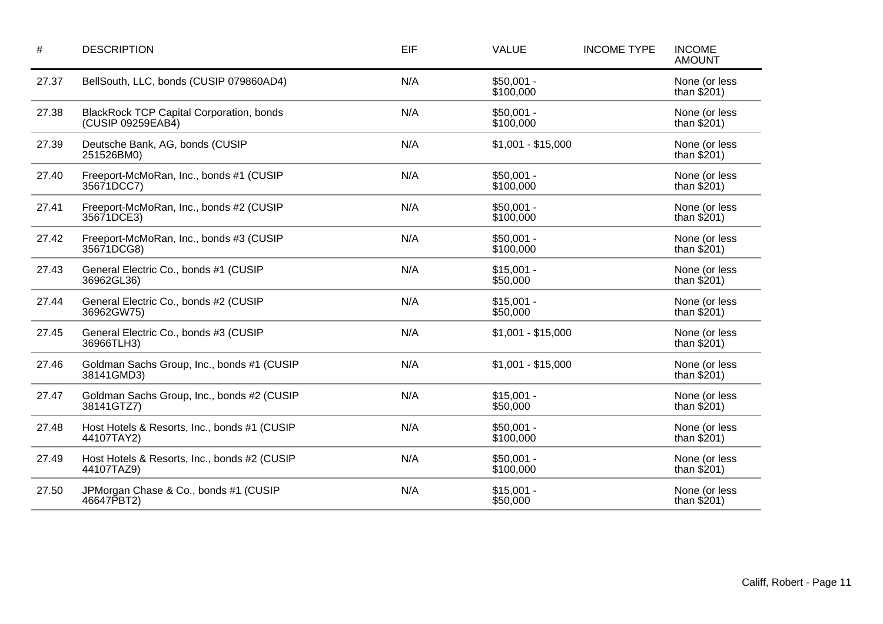| $\#$  | <b>DESCRIPTION</b>                                                   | EIF | <b>VALUE</b>             | <b>INCOME TYPE</b> | <b>INCOME</b><br><b>AMOUNT</b> |
|-------|----------------------------------------------------------------------|-----|--------------------------|--------------------|--------------------------------|
| 27.37 | BellSouth, LLC, bonds (CUSIP 079860AD4)                              | N/A | $$50,001 -$<br>\$100,000 |                    | None (or less<br>than $$201)$  |
| 27.38 | <b>BlackRock TCP Capital Corporation, bonds</b><br>(CUSIP 09259EAB4) | N/A | $$50,001 -$<br>\$100,000 |                    | None (or less<br>than $$201)$  |
| 27.39 | Deutsche Bank, AG, bonds (CUSIP<br>251526BM0)                        | N/A | $$1,001 - $15,000$       |                    | None (or less<br>than $$201)$  |
| 27.40 | Freeport-McMoRan, Inc., bonds #1 (CUSIP<br>35671DCC7)                | N/A | $$50,001 -$<br>\$100,000 |                    | None (or less<br>than $$201)$  |
| 27.41 | Freeport-McMoRan, Inc., bonds #2 (CUSIP<br>35671DCE3)                | N/A | $$50,001 -$<br>\$100,000 |                    | None (or less<br>than $$201)$  |
| 27.42 | Freeport-McMoRan, Inc., bonds #3 (CUSIP<br>35671DCG8)                | N/A | $$50,001 -$<br>\$100,000 |                    | None (or less<br>than $$201)$  |
| 27.43 | General Electric Co., bonds #1 (CUSIP<br>36962GL36)                  | N/A | $$15,001 -$<br>\$50,000  |                    | None (or less<br>than $$201)$  |
| 27.44 | General Electric Co., bonds #2 (CUSIP<br>36962GW75)                  | N/A | $$15,001 -$<br>\$50,000  |                    | None (or less<br>than $$201)$  |
| 27.45 | General Electric Co., bonds #3 (CUSIP<br>36966TLH3)                  | N/A | $$1,001 - $15,000$       |                    | None (or less<br>than $$201)$  |
| 27.46 | Goldman Sachs Group, Inc., bonds #1 (CUSIP<br>38141GMD3)             | N/A | $$1,001 - $15,000$       |                    | None (or less<br>than $$201)$  |
| 27.47 | Goldman Sachs Group, Inc., bonds #2 (CUSIP<br>38141GTZ7)             | N/A | $$15,001 -$<br>\$50,000  |                    | None (or less<br>than $$201)$  |
| 27.48 | Host Hotels & Resorts, Inc., bonds #1 (CUSIP<br>44107TAY2)           | N/A | $$50,001 -$<br>\$100,000 |                    | None (or less<br>than $$201)$  |
| 27.49 | Host Hotels & Resorts, Inc., bonds #2 (CUSIP<br>44107TAZ9)           | N/A | $$50,001 -$<br>\$100,000 |                    | None (or less<br>than $$201)$  |
| 27.50 | JPMorgan Chase & Co., bonds #1 (CUSIP<br>46647PBT2)                  | N/A | $$15,001 -$<br>\$50,000  |                    | None (or less<br>than $$201)$  |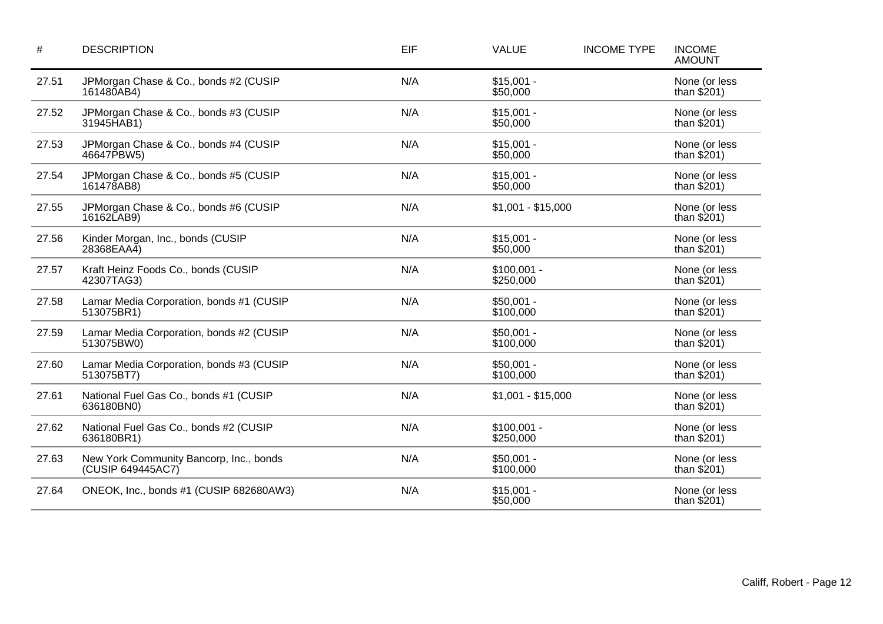| $\#$  | <b>DESCRIPTION</b>                                           | EIF | <b>VALUE</b>              | <b>INCOME TYPE</b> | <b>INCOME</b><br><b>AMOUNT</b> |
|-------|--------------------------------------------------------------|-----|---------------------------|--------------------|--------------------------------|
| 27.51 | JPMorgan Chase & Co., bonds #2 (CUSIP<br>161480AB4)          | N/A | $$15,001 -$<br>\$50,000   |                    | None (or less<br>than $$201)$  |
| 27.52 | JPMorgan Chase & Co., bonds #3 (CUSIP<br>31945HAB1)          | N/A | $$15,001 -$<br>\$50,000   |                    | None (or less<br>than $$201)$  |
| 27.53 | JPMorgan Chase & Co., bonds #4 (CUSIP<br>46647PBW5)          | N/A | $$15,001 -$<br>\$50,000   |                    | None (or less<br>than $$201)$  |
| 27.54 | JPMorgan Chase & Co., bonds #5 (CUSIP<br>161478AB8)          | N/A | $$15,001 -$<br>\$50,000   |                    | None (or less<br>than $$201)$  |
| 27.55 | JPMorgan Chase & Co., bonds #6 (CUSIP<br>16162LAB9)          | N/A | $$1,001 - $15,000$        |                    | None (or less<br>than $$201)$  |
| 27.56 | Kinder Morgan, Inc., bonds (CUSIP<br>28368EAA4)              | N/A | $$15,001 -$<br>\$50,000   |                    | None (or less<br>than $$201)$  |
| 27.57 | Kraft Heinz Foods Co., bonds (CUSIP<br>42307TAG3)            | N/A | $$100,001 -$<br>\$250,000 |                    | None (or less<br>than $$201)$  |
| 27.58 | Lamar Media Corporation, bonds #1 (CUSIP<br>513075BR1)       | N/A | $$50,001 -$<br>\$100,000  |                    | None (or less<br>than $$201)$  |
| 27.59 | Lamar Media Corporation, bonds #2 (CUSIP<br>513075BW0)       | N/A | $$50,001 -$<br>\$100,000  |                    | None (or less<br>than $$201)$  |
| 27.60 | Lamar Media Corporation, bonds #3 (CUSIP<br>513075BT7)       | N/A | $$50,001 -$<br>\$100,000  |                    | None (or less<br>than $$201)$  |
| 27.61 | National Fuel Gas Co., bonds #1 (CUSIP<br>636180BN0)         | N/A | $$1,001 - $15,000$        |                    | None (or less<br>than $$201)$  |
| 27.62 | National Fuel Gas Co., bonds #2 (CUSIP<br>636180BR1)         | N/A | $$100,001 -$<br>\$250,000 |                    | None (or less<br>than $$201)$  |
| 27.63 | New York Community Bancorp, Inc., bonds<br>(CUSIP 649445AC7) | N/A | $$50,001 -$<br>\$100,000  |                    | None (or less<br>than $$201)$  |
| 27.64 | ONEOK, Inc., bonds #1 (CUSIP 682680AW3)                      | N/A | $$15,001 -$<br>\$50,000   |                    | None (or less<br>than $$201)$  |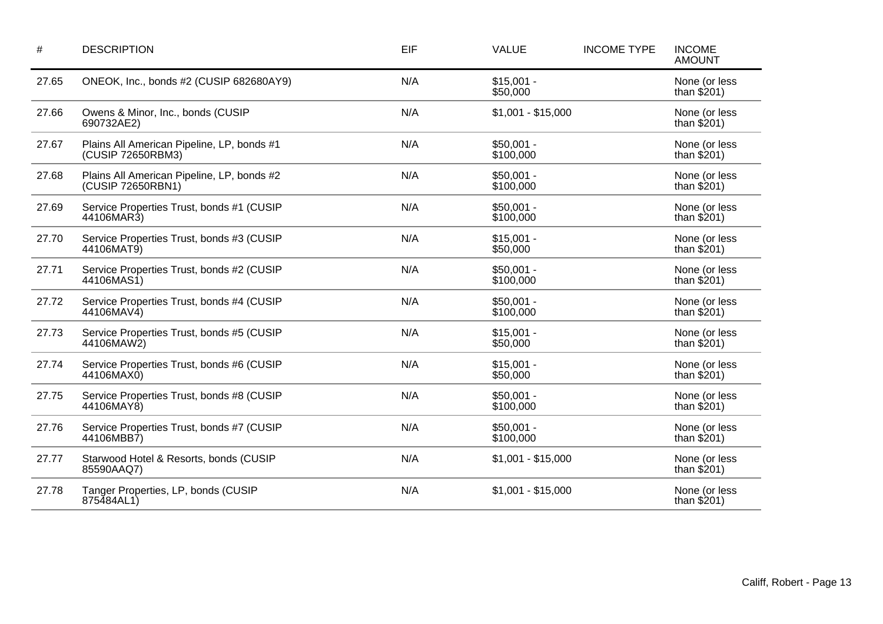| #     | <b>DESCRIPTION</b>                                              | EIF | <b>VALUE</b>             | <b>INCOME TYPE</b> | <b>INCOME</b><br><b>AMOUNT</b> |
|-------|-----------------------------------------------------------------|-----|--------------------------|--------------------|--------------------------------|
| 27.65 | ONEOK, Inc., bonds #2 (CUSIP 682680AY9)                         | N/A | $$15,001 -$<br>\$50,000  |                    | None (or less<br>than $$201)$  |
| 27.66 | Owens & Minor, Inc., bonds (CUSIP<br>690732AE2)                 | N/A | $$1,001 - $15,000$       |                    | None (or less<br>than $$201)$  |
| 27.67 | Plains All American Pipeline, LP, bonds #1<br>(CUSIP 72650RBM3) | N/A | $$50,001 -$<br>\$100,000 |                    | None (or less<br>than $$201)$  |
| 27.68 | Plains All American Pipeline, LP, bonds #2<br>(CUSIP 72650RBN1) | N/A | $$50,001 -$<br>\$100,000 |                    | None (or less<br>than $$201)$  |
| 27.69 | Service Properties Trust, bonds #1 (CUSIP<br>44106MAR3)         | N/A | $$50,001 -$<br>\$100,000 |                    | None (or less<br>than $$201)$  |
| 27.70 | Service Properties Trust, bonds #3 (CUSIP<br>44106MAT9)         | N/A | $$15,001 -$<br>\$50,000  |                    | None (or less<br>than $$201)$  |
| 27.71 | Service Properties Trust, bonds #2 (CUSIP<br>44106MAS1)         | N/A | $$50,001 -$<br>\$100,000 |                    | None (or less<br>than $$201)$  |
| 27.72 | Service Properties Trust, bonds #4 (CUSIP<br>44106MAV4)         | N/A | $$50,001 -$<br>\$100,000 |                    | None (or less<br>than $$201)$  |
| 27.73 | Service Properties Trust, bonds #5 (CUSIP<br>44106MAW2)         | N/A | $$15,001 -$<br>\$50,000  |                    | None (or less<br>than $$201)$  |
| 27.74 | Service Properties Trust, bonds #6 (CUSIP<br>44106MAX0)         | N/A | $$15,001 -$<br>\$50,000  |                    | None (or less<br>than $$201)$  |
| 27.75 | Service Properties Trust, bonds #8 (CUSIP<br>44106MAY8)         | N/A | $$50,001 -$<br>\$100,000 |                    | None (or less<br>than $$201)$  |
| 27.76 | Service Properties Trust, bonds #7 (CUSIP<br>44106MBB7)         | N/A | $$50,001 -$<br>\$100,000 |                    | None (or less<br>than $$201)$  |
| 27.77 | Starwood Hotel & Resorts, bonds (CUSIP<br>85590AAQ7)            | N/A | $$1,001 - $15,000$       |                    | None (or less<br>than $$201)$  |
| 27.78 | Tanger Properties, LP, bonds (CUSIP<br>875484AL1)               | N/A | $$1,001 - $15,000$       |                    | None (or less<br>than $$201)$  |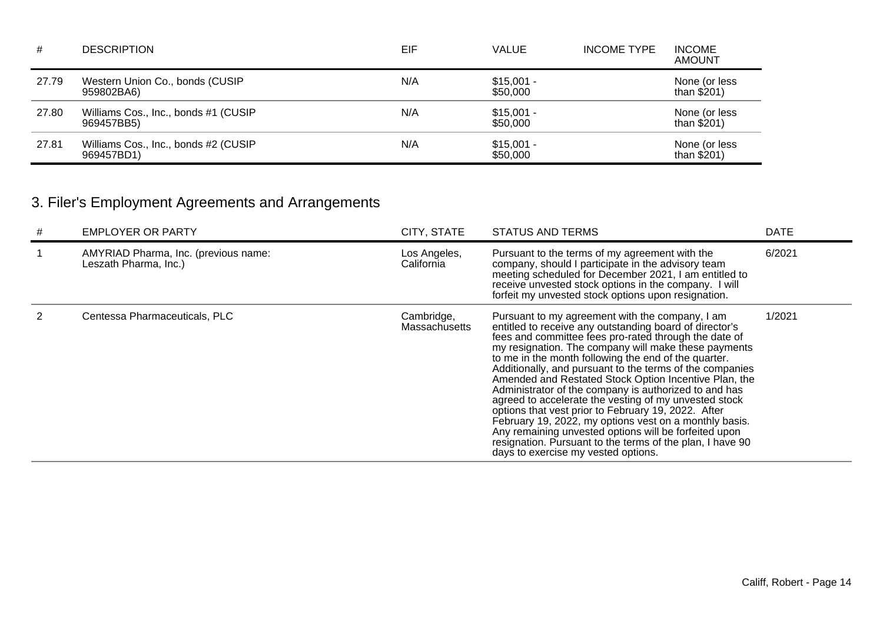| #     | <b>DESCRIPTION</b>                                 | EIF | <b>VALUE</b>            | <b>INCOME TYPE</b> | <b>INCOME</b><br><b>AMOUNT</b> |
|-------|----------------------------------------------------|-----|-------------------------|--------------------|--------------------------------|
| 27.79 | Western Union Co., bonds (CUSIP<br>959802BA6)      | N/A | $$15,001 -$<br>\$50,000 |                    | None (or less<br>than $$201)$  |
| 27.80 | Williams Cos., Inc., bonds #1 (CUSIP<br>969457BB5) | N/A | $$15,001 -$<br>\$50,000 |                    | None (or less<br>than $$201$ ) |
| 27.81 | Williams Cos., Inc., bonds #2 (CUSIP<br>969457BD1) | N/A | $$15,001 -$<br>\$50,000 |                    | None (or less<br>than $$201)$  |

# 3. Filer's Employment Agreements and Arrangements

| # | <b>EMPLOYER OR PARTY</b>                                      | CITY, STATE                 | <b>STATUS AND TERMS</b>                                                                                                                                                                                                                                                                                                                                                                                                                                                                                                                                                                                                                                                                                                                                                                                  | <b>DATE</b> |
|---|---------------------------------------------------------------|-----------------------------|----------------------------------------------------------------------------------------------------------------------------------------------------------------------------------------------------------------------------------------------------------------------------------------------------------------------------------------------------------------------------------------------------------------------------------------------------------------------------------------------------------------------------------------------------------------------------------------------------------------------------------------------------------------------------------------------------------------------------------------------------------------------------------------------------------|-------------|
|   | AMYRIAD Pharma, Inc. (previous name:<br>Leszath Pharma, Inc.) | Los Angeles,<br>California  | Pursuant to the terms of my agreement with the<br>company, should I participate in the advisory team<br>meeting scheduled for December 2021, I am entitled to<br>receive unvested stock options in the company. I will<br>forfeit my unvested stock options upon resignation.                                                                                                                                                                                                                                                                                                                                                                                                                                                                                                                            | 6/2021      |
|   | Centessa Pharmaceuticals, PLC                                 | Cambridge,<br>Massachusetts | Pursuant to my agreement with the company, I am<br>entitled to receive any outstanding board of director's<br>fees and committee fees pro-rated through the date of<br>my resignation. The company will make these payments<br>to me in the month following the end of the quarter.<br>Additionally, and pursuant to the terms of the companies<br>Amended and Restated Stock Option Incentive Plan, the<br>Administrator of the company is authorized to and has<br>agreed to accelerate the vesting of my unvested stock<br>options that vest prior to February 19, 2022. After<br>February 19, 2022, my options vest on a monthly basis.<br>Any remaining unvested options will be forfeited upon<br>resignation. Pursuant to the terms of the plan, I have 90<br>days to exercise my vested options. | 1/2021      |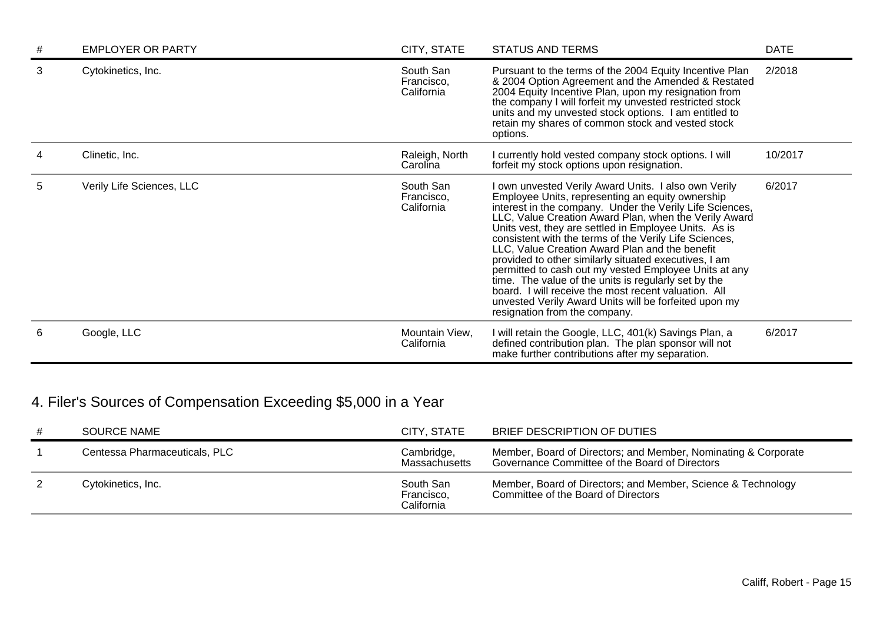| # | <b>EMPLOYER OR PARTY</b>  | CITY, STATE                           | <b>STATUS AND TERMS</b>                                                                                                                                                                                                                                                                                                                                                                                                                                                                                                                                                                                                                                                                                                      | <b>DATE</b> |
|---|---------------------------|---------------------------------------|------------------------------------------------------------------------------------------------------------------------------------------------------------------------------------------------------------------------------------------------------------------------------------------------------------------------------------------------------------------------------------------------------------------------------------------------------------------------------------------------------------------------------------------------------------------------------------------------------------------------------------------------------------------------------------------------------------------------------|-------------|
| 3 | Cytokinetics, Inc.        | South San<br>Francisco.<br>California | Pursuant to the terms of the 2004 Equity Incentive Plan<br>& 2004 Option Agreement and the Amended & Restated<br>2004 Equity Incentive Plan, upon my resignation from<br>the company I will forfeit my unvested restricted stock<br>units and my unvested stock options. I am entitled to<br>retain my shares of common stock and vested stock<br>options.                                                                                                                                                                                                                                                                                                                                                                   | 2/2018      |
|   | Clinetic, Inc.            | Raleigh, North<br>Carolina            | currently hold vested company stock options. I will<br>forfeit my stock options upon resignation.                                                                                                                                                                                                                                                                                                                                                                                                                                                                                                                                                                                                                            | 10/2017     |
| 5 | Verily Life Sciences, LLC | South San<br>Francisco,<br>California | own unvested Verily Award Units. I also own Verily<br>Employee Units, representing an equity ownership<br>interest in the company. Under the Verily Life Sciences,<br>LLC, Value Creation Award Plan, when the Verily Award<br>Units vest, they are settled in Employee Units. As is<br>consistent with the terms of the Verily Life Sciences,<br>LLC, Value Creation Award Plan and the benefit<br>provided to other similarly situated executives, I am<br>permitted to cash out my vested Employee Units at any<br>time. The value of the units is regularly set by the<br>board. I will receive the most recent valuation. All<br>unvested Verily Award Units will be forfeited upon my<br>resignation from the company. | 6/2017      |
| 6 | Google, LLC               | Mountain View,<br>California          | I will retain the Google, LLC, 401(k) Savings Plan, a<br>defined contribution plan. The plan sponsor will not<br>make further contributions after my separation.                                                                                                                                                                                                                                                                                                                                                                                                                                                                                                                                                             | 6/2017      |

# 4. Filer's Sources of Compensation Exceeding \$5,000 in a Year

| <b>SOURCE NAME</b>            | CITY, STATE                           | BRIEF DESCRIPTION OF DUTIES                                                                                      |
|-------------------------------|---------------------------------------|------------------------------------------------------------------------------------------------------------------|
| Centessa Pharmaceuticals, PLC | Cambridge,<br>Massachusetts           | Member, Board of Directors; and Member, Nominating & Corporate<br>Governance Committee of the Board of Directors |
| Cytokinetics, Inc.            | South San<br>Francisco,<br>California | Member, Board of Directors; and Member, Science & Technology<br>Committee of the Board of Directors              |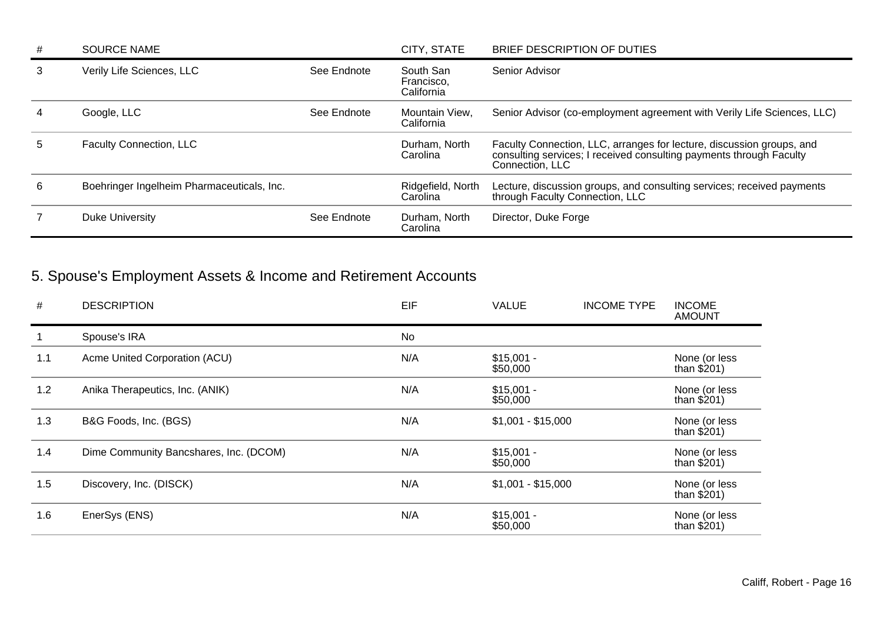| # | <b>SOURCE NAME</b>                         |             | CITY, STATE                           | BRIEF DESCRIPTION OF DUTIES                                                                                                                                     |
|---|--------------------------------------------|-------------|---------------------------------------|-----------------------------------------------------------------------------------------------------------------------------------------------------------------|
| 3 | Verily Life Sciences, LLC                  | See Endnote | South San<br>Francisco,<br>California | Senior Advisor                                                                                                                                                  |
|   | Google, LLC                                | See Endnote | Mountain View,<br>California          | Senior Advisor (co-employment agreement with Verily Life Sciences, LLC)                                                                                         |
| 5 | Faculty Connection, LLC                    |             | Durham, North<br>Carolina             | Faculty Connection, LLC, arranges for lecture, discussion groups, and<br>consulting services; I received consulting payments through Faculty<br>Connection, LLC |
| 6 | Boehringer Ingelheim Pharmaceuticals, Inc. |             | Ridgefield, North<br>Carolina         | Lecture, discussion groups, and consulting services; received payments<br>through Faculty Connection, LLC                                                       |
|   | <b>Duke University</b>                     | See Endnote | Durham, North<br>Carolina             | Director, Duke Forge                                                                                                                                            |

# 5. Spouse's Employment Assets & Income and Retirement Accounts

| #   | <b>DESCRIPTION</b>                     | EIF       | <b>VALUE</b>            | <b>INCOME TYPE</b> | <b>INCOME</b><br><b>AMOUNT</b> |
|-----|----------------------------------------|-----------|-------------------------|--------------------|--------------------------------|
|     | Spouse's IRA                           | <b>No</b> |                         |                    |                                |
| 1.1 | Acme United Corporation (ACU)          | N/A       | $$15,001 -$<br>\$50,000 |                    | None (or less<br>than $$201)$  |
| 1.2 | Anika Therapeutics, Inc. (ANIK)        | N/A       | $$15,001 -$<br>\$50,000 |                    | None (or less<br>than $$201)$  |
| 1.3 | B&G Foods, Inc. (BGS)                  | N/A       | $$1,001 - $15,000$      |                    | None (or less<br>than $$201)$  |
| 1.4 | Dime Community Bancshares, Inc. (DCOM) | N/A       | $$15,001 -$<br>\$50,000 |                    | None (or less<br>than $$201)$  |
| 1.5 | Discovery, Inc. (DISCK)                | N/A       | $$1,001 - $15,000$      |                    | None (or less<br>than $$201)$  |
| 1.6 | EnerSys (ENS)                          | N/A       | $$15,001 -$<br>\$50,000 |                    | None (or less<br>than $$201)$  |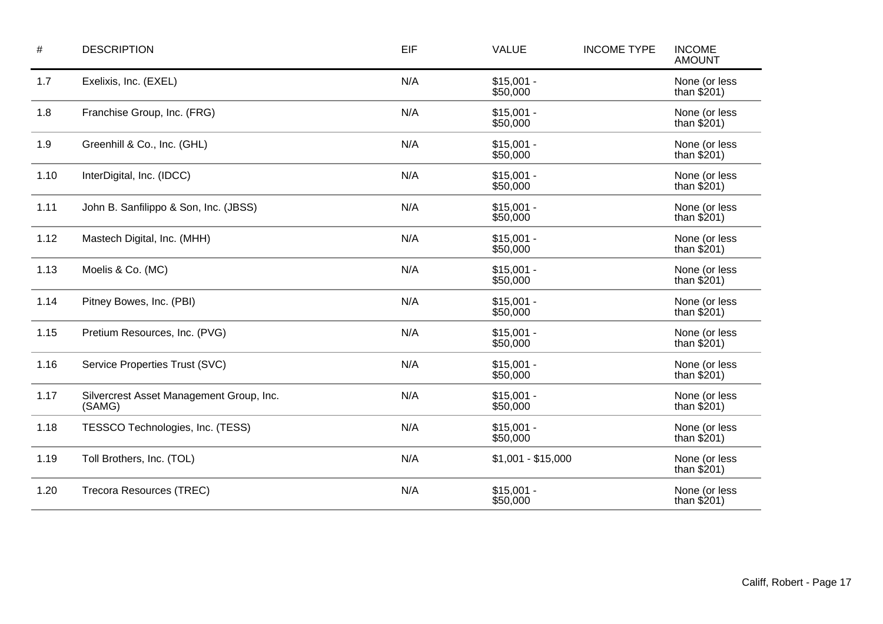| $\#$ | <b>DESCRIPTION</b>                                 | EIF | <b>VALUE</b>            | <b>INCOME TYPE</b> | <b>INCOME</b><br><b>AMOUNT</b> |
|------|----------------------------------------------------|-----|-------------------------|--------------------|--------------------------------|
| 1.7  | Exelixis, Inc. (EXEL)                              | N/A | $$15,001 -$<br>\$50,000 |                    | None (or less<br>than $$201)$  |
| 1.8  | Franchise Group, Inc. (FRG)                        | N/A | $$15,001 -$<br>\$50,000 |                    | None (or less<br>than $$201)$  |
| 1.9  | Greenhill & Co., Inc. (GHL)                        | N/A | $$15,001 -$<br>\$50,000 |                    | None (or less<br>than $$201)$  |
| 1.10 | InterDigital, Inc. (IDCC)                          | N/A | $$15,001 -$<br>\$50,000 |                    | None (or less<br>than $$201)$  |
| 1.11 | John B. Sanfilippo & Son, Inc. (JBSS)              | N/A | $$15,001 -$<br>\$50,000 |                    | None (or less<br>than $$201)$  |
| 1.12 | Mastech Digital, Inc. (MHH)                        | N/A | $$15,001 -$<br>\$50,000 |                    | None (or less<br>than $$201)$  |
| 1.13 | Moelis & Co. (MC)                                  | N/A | $$15,001 -$<br>\$50,000 |                    | None (or less<br>than $$201)$  |
| 1.14 | Pitney Bowes, Inc. (PBI)                           | N/A | $$15,001 -$<br>\$50,000 |                    | None (or less<br>than $$201)$  |
| 1.15 | Pretium Resources, Inc. (PVG)                      | N/A | $$15,001 -$<br>\$50,000 |                    | None (or less<br>than $$201)$  |
| 1.16 | Service Properties Trust (SVC)                     | N/A | $$15,001 -$<br>\$50,000 |                    | None (or less<br>than $$201)$  |
| 1.17 | Silvercrest Asset Management Group, Inc.<br>(SAMG) | N/A | $$15,001 -$<br>\$50,000 |                    | None (or less<br>than $$201)$  |
| 1.18 | TESSCO Technologies, Inc. (TESS)                   | N/A | $$15,001 -$<br>\$50,000 |                    | None (or less<br>than $$201)$  |
| 1.19 | Toll Brothers, Inc. (TOL)                          | N/A | $$1,001 - $15,000$      |                    | None (or less<br>than $$201)$  |
| 1.20 | Trecora Resources (TREC)                           | N/A | $$15,001 -$<br>\$50,000 |                    | None (or less<br>than $$201)$  |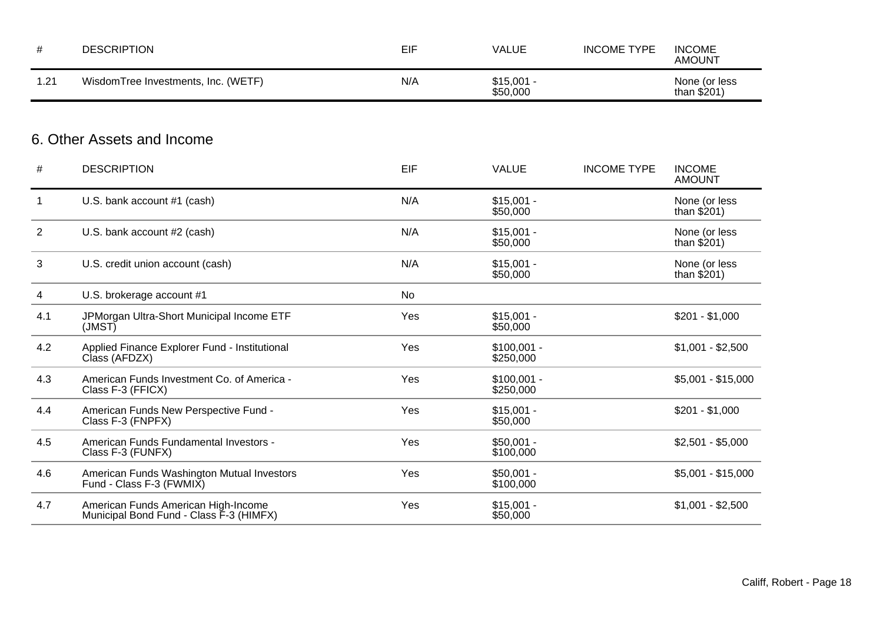| #              | <b>DESCRIPTION</b>                                                             | EIF       | <b>VALUE</b>              | <b>INCOME TYPE</b> | <b>INCOME</b><br><b>AMOUNT</b> |
|----------------|--------------------------------------------------------------------------------|-----------|---------------------------|--------------------|--------------------------------|
| 1.21           | WisdomTree Investments, Inc. (WETF)                                            | N/A       | $$15,001 -$<br>\$50,000   |                    | None (or less<br>than $$201)$  |
|                | 6. Other Assets and Income                                                     |           |                           |                    |                                |
| #              | <b>DESCRIPTION</b>                                                             | EIF       | <b>VALUE</b>              | <b>INCOME TYPE</b> | <b>INCOME</b><br><b>AMOUNT</b> |
| $\mathbf{1}$   | U.S. bank account #1 (cash)                                                    | N/A       | $$15,001 -$<br>\$50,000   |                    | None (or less<br>than $$201)$  |
| $\overline{2}$ | U.S. bank account #2 (cash)                                                    | N/A       | $$15,001 -$<br>\$50,000   |                    | None (or less<br>than $$201)$  |
| 3              | U.S. credit union account (cash)                                               | N/A       | $$15,001 -$<br>\$50,000   |                    | None (or less<br>than $$201)$  |
| 4              | U.S. brokerage account #1                                                      | <b>No</b> |                           |                    |                                |
| 4.1            | JPMorgan Ultra-Short Municipal Income ETF<br>(MST)                             | Yes       | $$15,001 -$<br>\$50,000   |                    | $$201 - $1,000$                |
| 4.2            | Applied Finance Explorer Fund - Institutional<br>Class (AFDZX)                 | Yes       | $$100,001 -$<br>\$250,000 |                    | $$1,001 - $2,500$              |
| 4.3            | American Funds Investment Co. of America -<br>Class F-3 (FFICX)                | Yes       | $$100,001 -$<br>\$250,000 |                    | $$5,001 - $15,000$             |
| 4.4            | American Funds New Perspective Fund -<br>Class F-3 (FNPFX)                     | Yes       | $$15,001 -$<br>\$50,000   |                    | $$201 - $1,000$                |
| 4.5            | American Funds Fundamental Investors -<br>Class F-3 (FUNFX)                    | Yes       | $$50,001 -$<br>\$100,000  |                    | $$2,501 - $5,000$              |
| 4.6            | American Funds Washington Mutual Investors<br>Fund - Class F-3 (FWMIX)         | Yes       | $$50,001 -$<br>\$100,000  |                    | $$5,001 - $15,000$             |
| 4.7            | American Funds American High-Income<br>Municipal Bond Fund - Class F-3 (HIMFX) | Yes       | $$15,001 -$<br>\$50,000   |                    | $$1,001 - $2,500$              |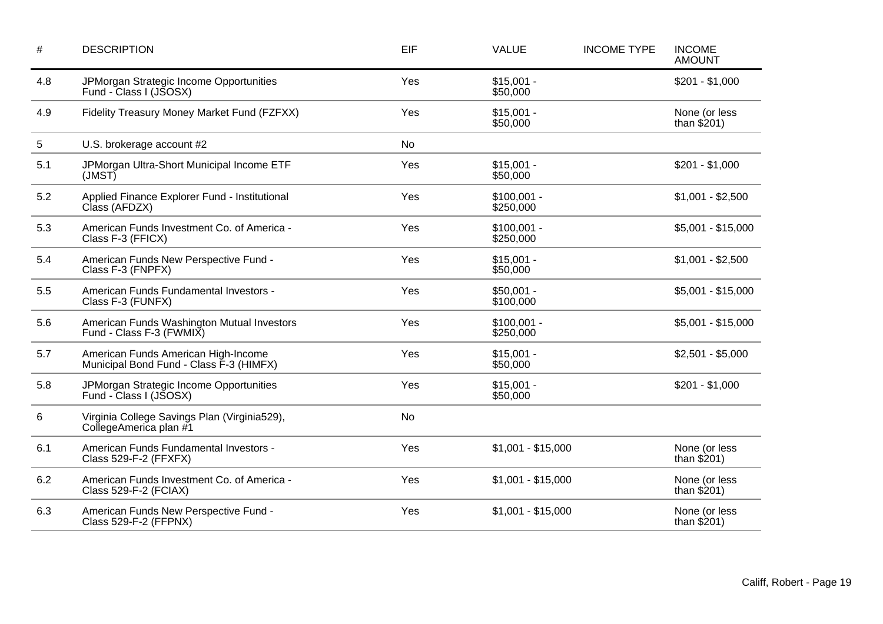| $\#$ | <b>DESCRIPTION</b>                                                             | EIF       | <b>VALUE</b>              | <b>INCOME TYPE</b> | <b>INCOME</b><br><b>AMOUNT</b> |
|------|--------------------------------------------------------------------------------|-----------|---------------------------|--------------------|--------------------------------|
| 4.8  | JPMorgan Strategic Income Opportunities<br>Fund - Class I (JSOSX)              | Yes       | $$15,001 -$<br>\$50,000   |                    | $$201 - $1,000$                |
| 4.9  | Fidelity Treasury Money Market Fund (FZFXX)                                    | Yes       | $$15,001 -$<br>\$50,000   |                    | None (or less<br>than $$201)$  |
| 5    | U.S. brokerage account #2                                                      | <b>No</b> |                           |                    |                                |
| 5.1  | JPMorgan Ultra-Short Municipal Income ETF<br>(MST)                             | Yes       | $$15,001 -$<br>\$50,000   |                    | $$201 - $1,000$                |
| 5.2  | Applied Finance Explorer Fund - Institutional<br>Class (AFDZX)                 | Yes       | $$100,001 -$<br>\$250,000 |                    | $$1,001 - $2,500$              |
| 5.3  | American Funds Investment Co. of America -<br>Class F-3 (FFICX)                | Yes       | $$100,001 -$<br>\$250,000 |                    | $$5,001 - $15,000$             |
| 5.4  | American Funds New Perspective Fund -<br>Class F-3 (FNPFX)                     | Yes       | $$15,001 -$<br>\$50,000   |                    | $$1,001 - $2,500$              |
| 5.5  | American Funds Fundamental Investors -<br>Class F-3 (FUNFX)                    | Yes       | $$50,001 -$<br>\$100,000  |                    | $$5,001 - $15,000$             |
| 5.6  | American Funds Washington Mutual Investors<br>Fund - Class F-3 (FWMIX)         | Yes       | $$100,001 -$<br>\$250,000 |                    | $$5,001 - $15,000$             |
| 5.7  | American Funds American High-Income<br>Municipal Bond Fund - Class F-3 (HIMFX) | Yes       | $$15,001 -$<br>\$50,000   |                    | $$2,501 - $5,000$              |
| 5.8  | JPMorgan Strategic Income Opportunities<br>Fund - Class I (JSOSX)              | Yes       | $$15,001 -$<br>\$50,000   |                    | $$201 - $1,000$                |
| 6    | Virginia College Savings Plan (Virginia529),<br>CollegeAmerica plan #1         | <b>No</b> |                           |                    |                                |
| 6.1  | American Funds Fundamental Investors -<br>Class 529-F-2 (FFXFX)                | Yes       | $$1,001 - $15,000$        |                    | None (or less<br>than $$201)$  |
| 6.2  | American Funds Investment Co. of America -<br>Class 529-F-2 (FCIAX)            | Yes       | $$1,001 - $15,000$        |                    | None (or less<br>than $$201)$  |
| 6.3  | American Funds New Perspective Fund -<br>Class 529-F-2 (FFPNX)                 | Yes       | $$1,001 - $15,000$        |                    | None (or less<br>than $$201)$  |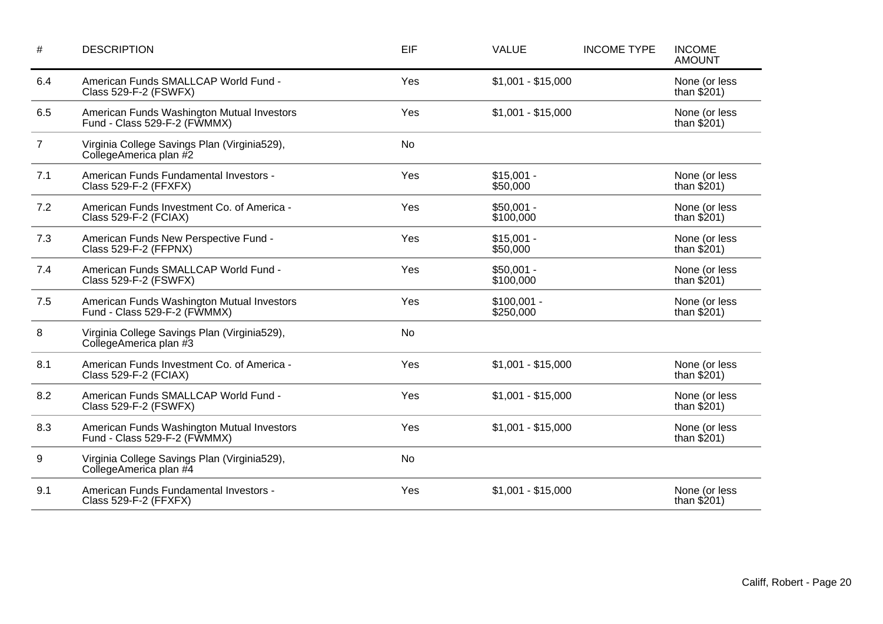| $\#$           | <b>DESCRIPTION</b>                                                         | EIF       | <b>VALUE</b>              | <b>INCOME TYPE</b> | <b>INCOME</b><br><b>AMOUNT</b> |
|----------------|----------------------------------------------------------------------------|-----------|---------------------------|--------------------|--------------------------------|
| 6.4            | American Funds SMALLCAP World Fund -<br>Class 529-F-2 (FSWFX)              | Yes       | $$1,001 - $15,000$        |                    | None (or less<br>than $$201)$  |
| 6.5            | American Funds Washington Mutual Investors<br>Fund - Class 529-F-2 (FWMMX) | Yes       | $$1,001 - $15,000$        |                    | None (or less<br>than $$201)$  |
| $\overline{7}$ | Virginia College Savings Plan (Virginia529),<br>CollegeAmerica plan #2     | <b>No</b> |                           |                    |                                |
| 7.1            | American Funds Fundamental Investors -<br>Class 529-F-2 (FFXFX)            | Yes       | $$15,001 -$<br>\$50,000   |                    | None (or less<br>than $$201)$  |
| 7.2            | American Funds Investment Co. of America -<br>Class 529-F-2 (FCIAX)        | Yes       | $$50,001 -$<br>\$100,000  |                    | None (or less<br>than $$201)$  |
| 7.3            | American Funds New Perspective Fund -<br>Class 529-F-2 (FFPNX)             | Yes       | $$15,001 -$<br>\$50,000   |                    | None (or less<br>than $$201)$  |
| 7.4            | American Funds SMALLCAP World Fund -<br>Class 529-F-2 (FSWFX)              | Yes       | $$50,001 -$<br>\$100,000  |                    | None (or less<br>than $$201)$  |
| 7.5            | American Funds Washington Mutual Investors<br>Fund - Class 529-F-2 (FWMMX) | Yes       | $$100,001 -$<br>\$250,000 |                    | None (or less<br>than $$201)$  |
| 8              | Virginia College Savings Plan (Virginia529),<br>CollegeAmerica plan #3     | <b>No</b> |                           |                    |                                |
| 8.1            | American Funds Investment Co. of America -<br>Class 529-F-2 (FCIAX)        | Yes       | $$1,001 - $15,000$        |                    | None (or less<br>than $$201)$  |
| 8.2            | American Funds SMALLCAP World Fund -<br>Class 529-F-2 (FSWFX)              | Yes       | $$1,001 - $15,000$        |                    | None (or less<br>than $$201)$  |
| 8.3            | American Funds Washington Mutual Investors<br>Fund - Class 529-F-2 (FWMMX) | Yes       | $$1,001 - $15,000$        |                    | None (or less<br>than $$201)$  |
| 9              | Virginia College Savings Plan (Virginia529),<br>CollegeAmerica plan #4     | <b>No</b> |                           |                    |                                |
| 9.1            | American Funds Fundamental Investors -<br>Class 529-F-2 (FFXFX)            | Yes       | $$1,001 - $15,000$        |                    | None (or less<br>than $$201)$  |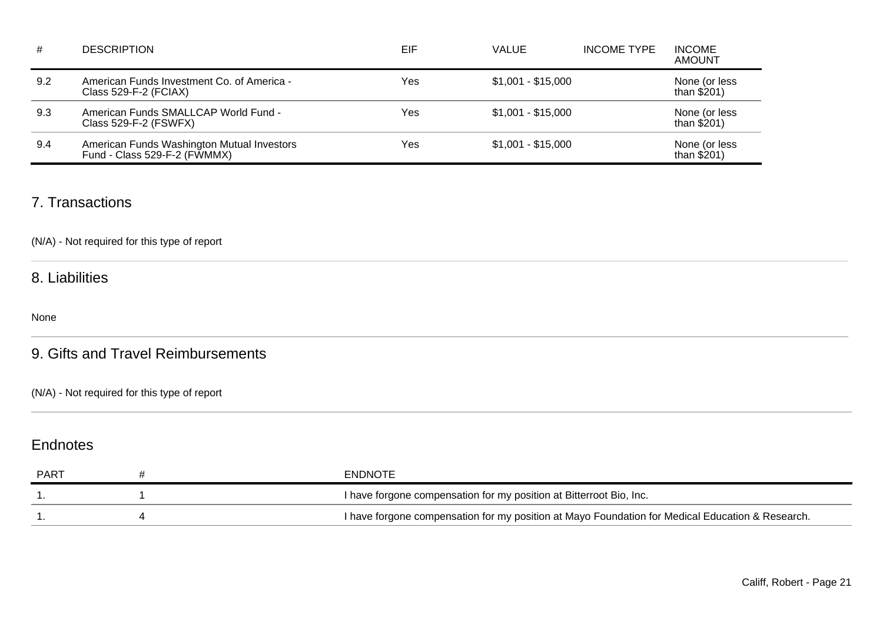| #   | <b>DESCRIPTION</b>                                                         | EIF | <b>VALUE</b>       | <b>INCOME TYPE</b> | <b>INCOME</b><br>AMOUNT       |
|-----|----------------------------------------------------------------------------|-----|--------------------|--------------------|-------------------------------|
| 9.2 | American Funds Investment Co. of America -<br>Class 529-F-2 (FCIAX)        | Yes | $$1,001 - $15,000$ |                    | None (or less<br>than $$201)$ |
| 9.3 | American Funds SMALLCAP World Fund -<br>Class 529-F-2 (FSWFX)              | Yes | $$1,001 - $15,000$ |                    | None (or less<br>than \$201)  |
| 9.4 | American Funds Washington Mutual Investors<br>Fund - Class 529-F-2 (FWMMX) | Yes | $$1,001 - $15,000$ |                    | None (or less<br>than $$201)$ |

### 7. Transactions

(N/A) - Not required for this type of report

### 8. Liabilities

None

## 9. Gifts and Travel Reimbursements

(N/A) - Not required for this type of report

## **Endnotes**

| PART | ENDNOTE                                                                                          |
|------|--------------------------------------------------------------------------------------------------|
|      | I have forgone compensation for my position at Bitterroot Bio, Inc.                              |
|      | I have forgone compensation for my position at Mayo Foundation for Medical Education & Research. |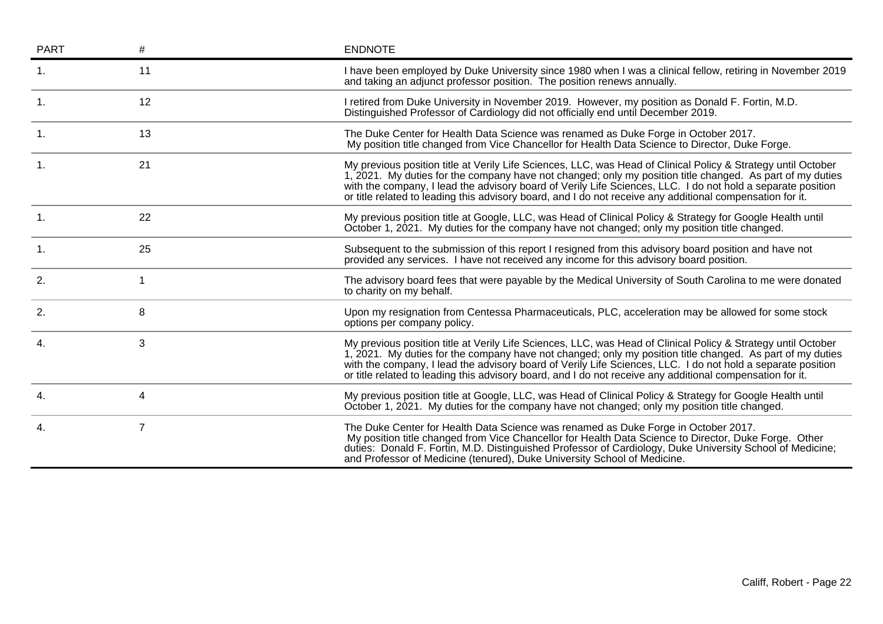| <b>PART</b>    | #              | <b>ENDNOTE</b>                                                                                                                                                                                                                                                                                                                                                                                                                                         |
|----------------|----------------|--------------------------------------------------------------------------------------------------------------------------------------------------------------------------------------------------------------------------------------------------------------------------------------------------------------------------------------------------------------------------------------------------------------------------------------------------------|
|                | 11             | I have been employed by Duke University since 1980 when I was a clinical fellow, retiring in November 2019<br>and taking an adjunct professor position. The position renews annually.                                                                                                                                                                                                                                                                  |
| $\mathbf{1}$ . | 12             | I retired from Duke University in November 2019. However, my position as Donald F. Fortin, M.D.<br>Distinguished Professor of Cardiology did not officially end until December 2019.                                                                                                                                                                                                                                                                   |
| $\mathbf{1}$ . | 13             | The Duke Center for Health Data Science was renamed as Duke Forge in October 2017.<br>My position title changed from Vice Chancellor for Health Data Science to Director, Duke Forge.                                                                                                                                                                                                                                                                  |
|                | 21             | My previous position title at Verily Life Sciences, LLC, was Head of Clinical Policy & Strategy until October<br>1, 2021. My duties for the company have not changed; only my position title changed. As part of my duties<br>with the company, I lead the advisory board of Verily Life Sciences, LLC. I do not hold a separate position<br>or title related to leading this advisory board, and I do not receive any additional compensation for it. |
| $\mathbf{1}$ . | 22             | My previous position title at Google, LLC, was Head of Clinical Policy & Strategy for Google Health until<br>October 1, 2021. My duties for the company have not changed; only my position title changed.                                                                                                                                                                                                                                              |
| $\mathbf{1}$ . | 25             | Subsequent to the submission of this report I resigned from this advisory board position and have not<br>provided any services. I have not received any income for this advisory board position.                                                                                                                                                                                                                                                       |
| 2.             | 1              | The advisory board fees that were payable by the Medical University of South Carolina to me were donated<br>to charity on my behalf.                                                                                                                                                                                                                                                                                                                   |
| 2.             | 8              | Upon my resignation from Centessa Pharmaceuticals, PLC, acceleration may be allowed for some stock<br>options per company policy.                                                                                                                                                                                                                                                                                                                      |
| 4.             | $\mathbf{3}$   | My previous position title at Verily Life Sciences, LLC, was Head of Clinical Policy & Strategy until October<br>1, 2021. My duties for the company have not changed; only my position title changed. As part of my duties<br>with the company, I lead the advisory board of Verily Life Sciences, LLC. I do not hold a separate position<br>or title related to leading this advisory board, and I do not receive any additional compensation for it. |
| 4.             | 4              | My previous position title at Google, LLC, was Head of Clinical Policy & Strategy for Google Health until<br>October 1, 2021. My duties for the company have not changed; only my position title changed.                                                                                                                                                                                                                                              |
| 4.             | $\overline{7}$ | The Duke Center for Health Data Science was renamed as Duke Forge in October 2017.<br>My position title changed from Vice Chancellor for Health Data Science to Director, Duke Forge. Other<br>duties: Donald F. Fortin, M.D. Distinguished Professor of Cardiology, Duke University School of Medicine;<br>and Professor of Medicine (tenured), Duke University School of Medicine.                                                                   |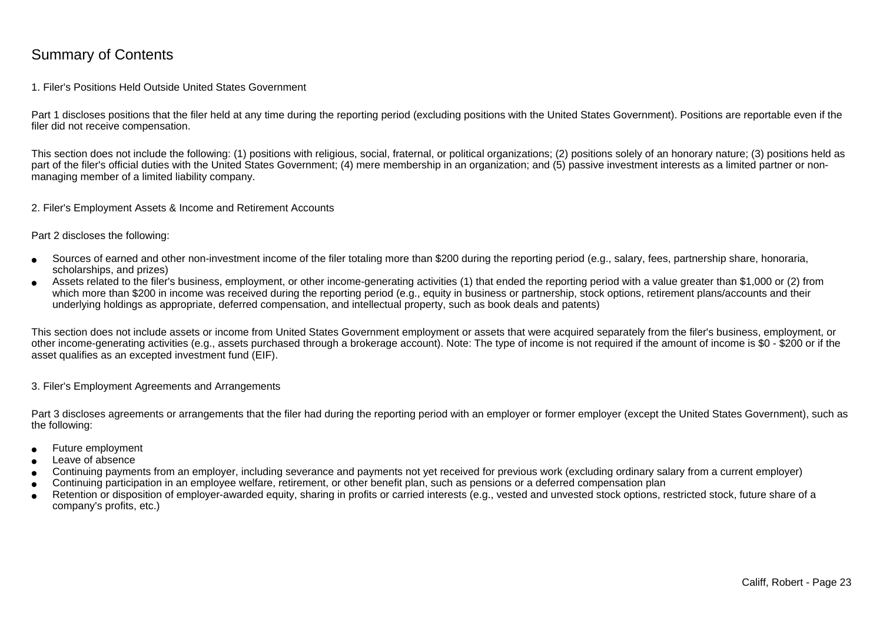## Summary of Contents

### 1. Filer's Positions Held Outside United States Government

Part 1 discloses positions that the filer held at any time during the reporting period (excluding positions with the United States Government). Positions are reportable even if the filer did not receive compensation.

This section does not include the following: (1) positions with religious, social, fraternal, or political organizations; (2) positions solely of an honorary nature; (3) positions held aspart of the filer's official duties with the United States Government; (4) mere membership in an organization; and (5) passive investment interests as a limited partner or nonmanaging member of a limited liability company.

2. Filer's Employment Assets & Income and Retirement Accounts

Part 2 discloses the following:

- ●Sources of earned and other non-investment income of the filer totaling more than \$200 during the reporting period (e.g., salary, fees, partnership share, honoraria,scholarships, and prizes)
- ● Assets related to the filer's business, employment, or other income-generating activities (1) that ended the reporting period with a value greater than \$1,000 or (2) fromwhich more than \$200 in income was received during the reporting period (e.g., equity in business or partnership, stock options, retirement plans/accounts and their underlying holdings as appropriate, deferred compensation, and intellectual property, such as book deals and patents)

This section does not include assets or income from United States Government employment or assets that were acquired separately from the filer's business, employment, or other income-generating activities (e.g., assets purchased through a brokerage account). Note: The type of income is not required if the amount of income is \$0 - \$200 or if theasset qualifies as an excepted investment fund (EIF).

3. Filer's Employment Agreements and Arrangements

Part 3 discloses agreements or arrangements that the filer had during the reporting period with an employer or former employer (except the United States Government), such as the following:

- ●Future employment
- ●Leave of absence
- ●Continuing payments from an employer, including severance and payments not yet received for previous work (excluding ordinary salary from a current employer)
- ●Continuing participation in an employee welfare, retirement, or other benefit plan, such as pensions or a deferred compensation plan
- ● Retention or disposition of employer-awarded equity, sharing in profits or carried interests (e.g., vested and unvested stock options, restricted stock, future share of acompany's profits, etc.)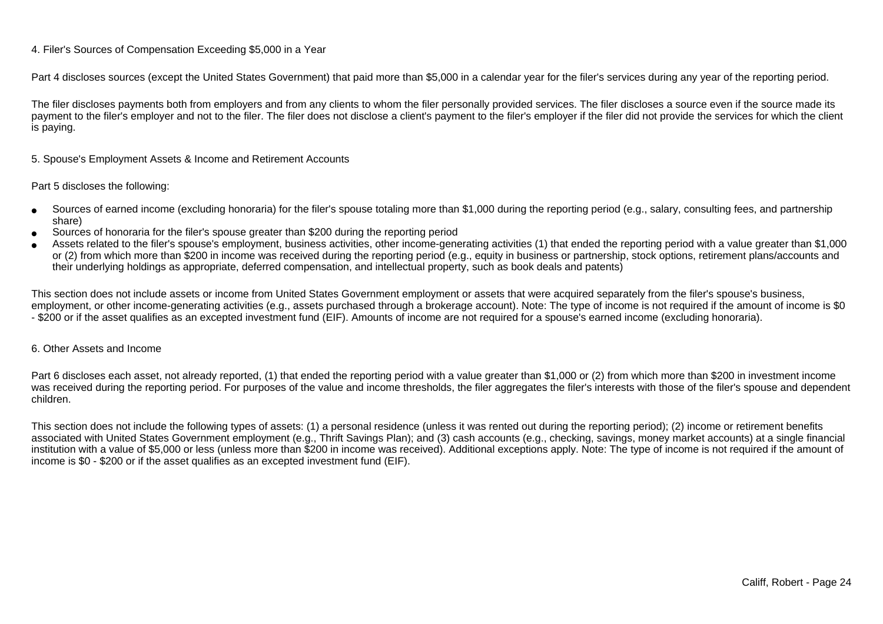### 4. Filer's Sources of Compensation Exceeding \$5,000 in a Year

Part 4 discloses sources (except the United States Government) that paid more than \$5,000 in a calendar year for the filer's services during any year of the reporting period.

The filer discloses payments both from employers and from any clients to whom the filer personally provided services. The filer discloses a source even if the source made itspayment to the filer's employer and not to the filer. The filer does not disclose a client's payment to the filer's employer if the filer did not provide the services for which the client is paying.

5. Spouse's Employment Assets & Income and Retirement Accounts

#### Part 5 discloses the following:

- ●Sources of earned income (excluding honoraria) for the filer's spouse totaling more than \$1,000 during the reporting period (e.g., salary, consulting fees, and partnershipshare)
- ●Sources of honoraria for the filer's spouse greater than \$200 during the reporting period
- ● Assets related to the filer's spouse's employment, business activities, other income-generating activities (1) that ended the reporting period with a value greater than \$1,000or (2) from which more than \$200 in income was received during the reporting period (e.g., equity in business or partnership, stock options, retirement plans/accounts and their underlying holdings as appropriate, deferred compensation, and intellectual property, such as book deals and patents)

This section does not include assets or income from United States Government employment or assets that were acquired separately from the filer's spouse's business,employment, or other income-generating activities (e.g., assets purchased through a brokerage account). Note: The type of income is not required if the amount of income is \$0 - \$200 or if the asset qualifies as an excepted investment fund (EIF). Amounts of income are not required for a spouse's earned income (excluding honoraria).

#### 6. Other Assets and Income

Part 6 discloses each asset, not already reported, (1) that ended the reporting period with a value greater than \$1,000 or (2) from which more than \$200 in investment income was received during the reporting period. For purposes of the value and income thresholds, the filer aggregates the filer's interests with those of the filer's spouse and dependentchildren.

This section does not include the following types of assets: (1) a personal residence (unless it was rented out during the reporting period); (2) income or retirement benefits associated with United States Government employment (e.g., Thrift Savings Plan); and (3) cash accounts (e.g., checking, savings, money market accounts) at a single financial institution with a value of \$5,000 or less (unless more than \$200 in income was received). Additional exceptions apply. Note: The type of income is not required if the amount ofincome is \$0 - \$200 or if the asset qualifies as an excepted investment fund (EIF).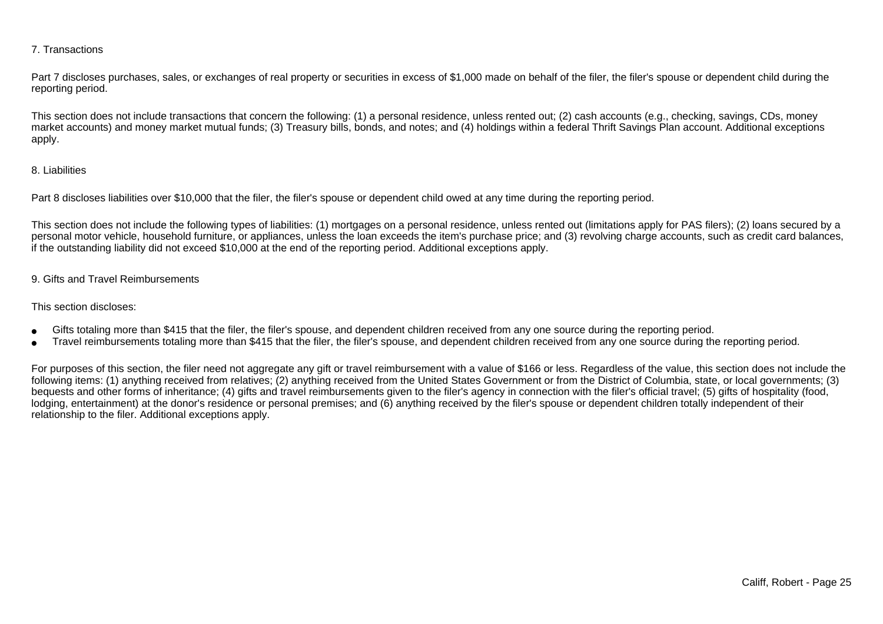### 7. Transactions

Part 7 discloses purchases, sales, or exchanges of real property or securities in excess of \$1,000 made on behalf of the filer, the filer's spouse or dependent child during the reporting period.

This section does not include transactions that concern the following: (1) a personal residence, unless rented out; (2) cash accounts (e.g., checking, savings, CDs, money market accounts) and money market mutual funds; (3) Treasury bills, bonds, and notes; and (4) holdings within a federal Thrift Savings Plan account. Additional exceptionsapply.

### 8. Liabilities

Part 8 discloses liabilities over \$10,000 that the filer, the filer's spouse or dependent child owed at any time during the reporting period.

This section does not include the following types of liabilities: (1) mortgages on a personal residence, unless rented out (limitations apply for PAS filers); (2) loans secured by a personal motor vehicle, household furniture, or appliances, unless the loan exceeds the item's purchase price; and (3) revolving charge accounts, such as credit card balances,if the outstanding liability did not exceed \$10,000 at the end of the reporting period. Additional exceptions apply.

### 9. Gifts and Travel Reimbursements

#### This section discloses:

- ●Gifts totaling more than \$415 that the filer, the filer's spouse, and dependent children received from any one source during the reporting period.
- ●Travel reimbursements totaling more than \$415 that the filer, the filer's spouse, and dependent children received from any one source during the reporting period.

For purposes of this section, the filer need not aggregate any gift or travel reimbursement with a value of \$166 or less. Regardless of the value, this section does not include the following items: (1) anything received from relatives; (2) anything received from the United States Government or from the District of Columbia, state, or local governments; (3)bequests and other forms of inheritance; (4) gifts and travel reimbursements given to the filer's agency in connection with the filer's official travel; (5) gifts of hospitality (food,lodging, entertainment) at the donor's residence or personal premises; and (6) anything received by the filer's spouse or dependent children totally independent of theirrelationship to the filer. Additional exceptions apply.